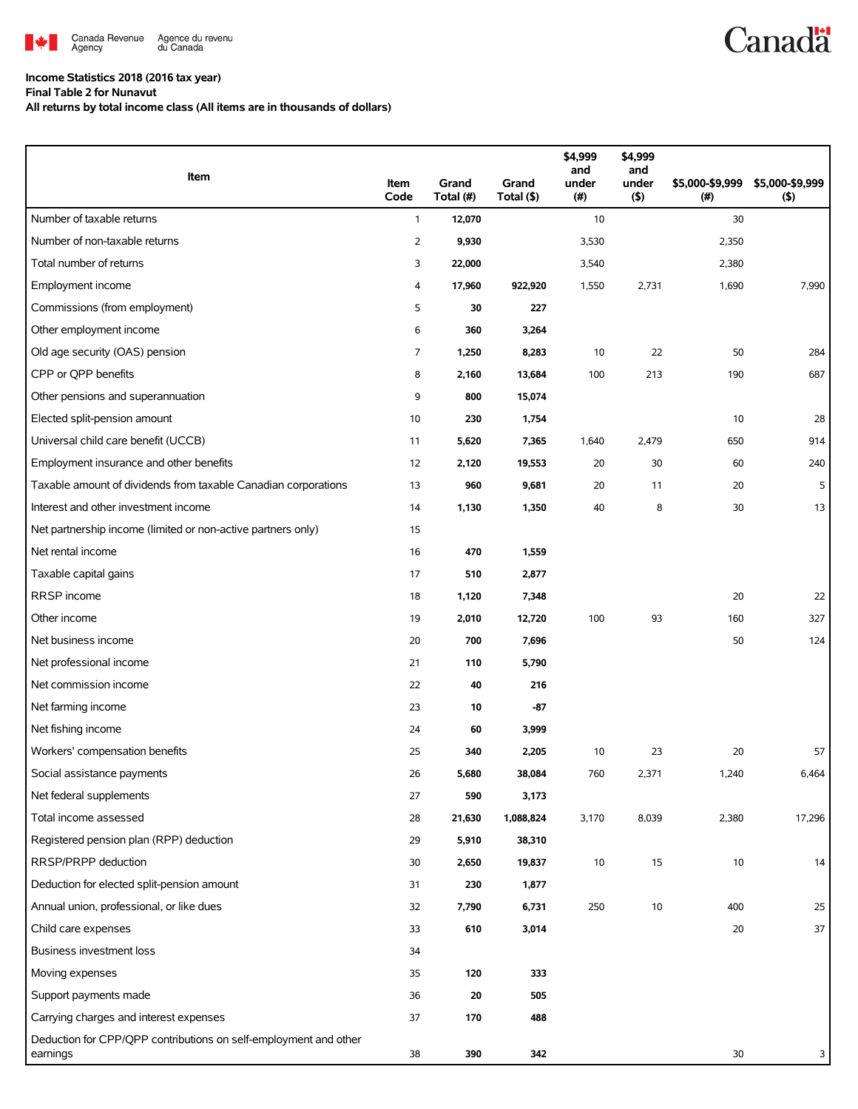

## **Income Statistics 2018 (2016 tax year)**

**Final Table 2 for Nunavut**

**All returns by total income class (All items are in thousands of dollars)**

| Item                                                                         | Item<br>Code | Grand<br>Total (#) | Grand<br>Total (\$) | \$4,999<br>and<br>under<br>(#) | \$4,999<br>and<br>under<br>(5) | \$5,000-\$9,999<br>(#) | \$5,000-\$9,999<br>(5) |
|------------------------------------------------------------------------------|--------------|--------------------|---------------------|--------------------------------|--------------------------------|------------------------|------------------------|
| Number of taxable returns                                                    | $\mathbf{1}$ | 12,070             |                     | 10                             |                                | 30                     |                        |
| Number of non-taxable returns                                                | 2            | 9,930              |                     | 3,530                          |                                | 2,350                  |                        |
| Total number of returns                                                      | 3            | 22,000             |                     | 3,540                          |                                | 2,380                  |                        |
| Employment income                                                            | 4            | 17,960             | 922,920             | 1,550                          | 2,731                          | 1,690                  | 7,990                  |
| Commissions (from employment)                                                | 5            | 30                 | 227                 |                                |                                |                        |                        |
| Other employment income                                                      | 6            | 360                | 3,264               |                                |                                |                        |                        |
| Old age security (OAS) pension                                               | 7            | 1,250              | 8,283               | 10                             | 22                             | 50                     | 284                    |
| CPP or QPP benefits                                                          | 8            | 2,160              | 13,684              | 100                            | 213                            | 190                    | 687                    |
| Other pensions and superannuation                                            | 9            | 800                | 15,074              |                                |                                |                        |                        |
| Elected split-pension amount                                                 | 10           | 230                | 1,754               |                                |                                | 10                     | 28                     |
| Universal child care benefit (UCCB)                                          | 11           | 5,620              | 7,365               | 1,640                          | 2,479                          | 650                    | 914                    |
| Employment insurance and other benefits                                      | 12           | 2,120              | 19,553              | 20                             | 30                             | 60                     | 240                    |
| Taxable amount of dividends from taxable Canadian corporations               | 13           | 960                | 9,681               | 20                             | 11                             | 20                     | 5                      |
| Interest and other investment income                                         | 14           | 1,130              | 1,350               | 40                             | 8                              | 30                     | 13                     |
| Net partnership income (limited or non-active partners only)                 | 15           |                    |                     |                                |                                |                        |                        |
| Net rental income                                                            | 16           | 470                | 1,559               |                                |                                |                        |                        |
| Taxable capital gains                                                        | 17           | 510                | 2,877               |                                |                                |                        |                        |
| RRSP income                                                                  | 18           | 1,120              | 7,348               |                                |                                | 20                     | 22                     |
| Other income                                                                 | 19           | 2,010              | 12,720              | 100                            | 93                             | 160                    | 327                    |
| Net business income                                                          | 20           | 700                | 7,696               |                                |                                | 50                     | 124                    |
| Net professional income                                                      | 21           | 110                | 5,790               |                                |                                |                        |                        |
| Net commission income                                                        | 22           | 40                 | 216                 |                                |                                |                        |                        |
| Net farming income                                                           | 23           | 10                 | $-87$               |                                |                                |                        |                        |
| Net fishing income                                                           | 24           | 60                 | 3,999               |                                |                                |                        |                        |
| Workers' compensation benefits                                               | 25           | 340                | 2,205               | 10                             | 23                             | 20                     | 57                     |
| Social assistance payments                                                   | 26           | 5,680              | 38,084              | 760                            | 2,371                          | 1,240                  | 6,464                  |
| Net federal supplements                                                      | 27           | 590                | 3,173               |                                |                                |                        |                        |
| Total income assessed                                                        | 28           | 21,630             | 1,088,824           | 3,170                          | 8,039                          | 2,380                  | 17,296                 |
| Registered pension plan (RPP) deduction                                      | 29           | 5,910              | 38,310              |                                |                                |                        |                        |
| RRSP/PRPP deduction                                                          | 30           | 2,650              | 19,837              | $10$                           | 15                             | 10                     | 14                     |
| Deduction for elected split-pension amount                                   | 31           | 230                | 1,877               |                                |                                |                        |                        |
| Annual union, professional, or like dues                                     | 32           | 7,790              | 6,731               | 250                            | 10                             | 400                    | 25                     |
| Child care expenses                                                          | 33           | 610                | 3,014               |                                |                                | 20                     | 37                     |
| <b>Business investment loss</b>                                              | 34           |                    |                     |                                |                                |                        |                        |
| Moving expenses                                                              | 35           | 120                | 333                 |                                |                                |                        |                        |
| Support payments made                                                        | 36           | 20                 | 505                 |                                |                                |                        |                        |
| Carrying charges and interest expenses                                       | 37           | 170                | 488                 |                                |                                |                        |                        |
| Deduction for CPP/QPP contributions on self-employment and other<br>earnings | 38           | 390                | 342                 |                                |                                | 30                     | 3                      |

**Canadä**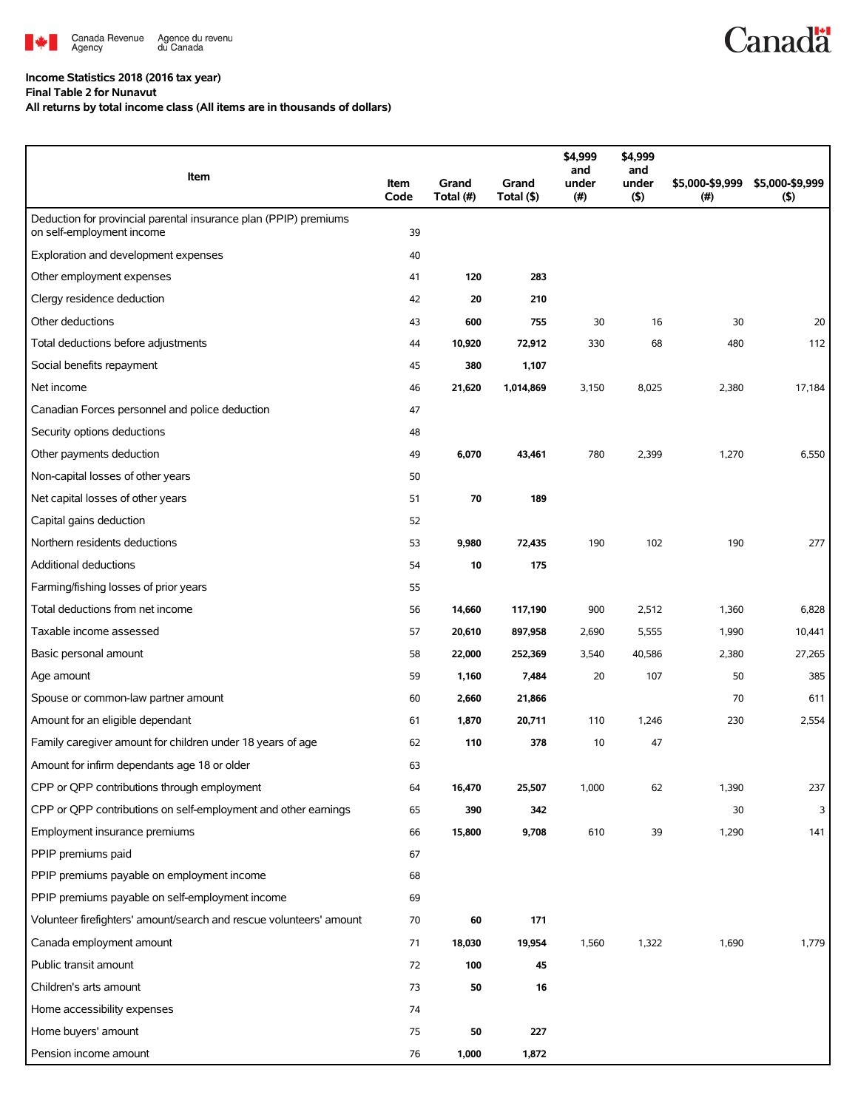

## **Income Statistics 2018 (2016 tax year)**

**Final Table 2 for Nunavut**

**All returns by total income class (All items are in thousands of dollars)**

| Item                                                                                          | Item<br>Code | Grand<br>Total (#) | Grand<br>Total (\$) | \$4,999<br>and<br>under<br>(#) | \$4,999<br>and<br>under<br>$($ \$) | \$5,000-\$9,999<br>(#) | \$5,000-\$9,999<br>(5) |
|-----------------------------------------------------------------------------------------------|--------------|--------------------|---------------------|--------------------------------|------------------------------------|------------------------|------------------------|
| Deduction for provincial parental insurance plan (PPIP) premiums<br>on self-employment income | 39           |                    |                     |                                |                                    |                        |                        |
| Exploration and development expenses                                                          | 40           |                    |                     |                                |                                    |                        |                        |
| Other employment expenses                                                                     | 41           | 120                | 283                 |                                |                                    |                        |                        |
| Clergy residence deduction                                                                    | 42           | 20                 | 210                 |                                |                                    |                        |                        |
| Other deductions                                                                              | 43           | 600                | 755                 | 30                             | 16                                 | 30                     | 20                     |
| Total deductions before adjustments                                                           | 44           | 10,920             | 72,912              | 330                            | 68                                 | 480                    | 112                    |
| Social benefits repayment                                                                     | 45           | 380                | 1,107               |                                |                                    |                        |                        |
| Net income                                                                                    | 46           | 21,620             | 1,014,869           | 3,150                          | 8,025                              | 2,380                  | 17,184                 |
| Canadian Forces personnel and police deduction                                                | 47           |                    |                     |                                |                                    |                        |                        |
| Security options deductions                                                                   | 48           |                    |                     |                                |                                    |                        |                        |
| Other payments deduction                                                                      | 49           | 6,070              | 43,461              | 780                            | 2,399                              | 1,270                  | 6,550                  |
| Non-capital losses of other years                                                             | 50           |                    |                     |                                |                                    |                        |                        |
| Net capital losses of other years                                                             | 51           | 70                 | 189                 |                                |                                    |                        |                        |
| Capital gains deduction                                                                       | 52           |                    |                     |                                |                                    |                        |                        |
| Northern residents deductions                                                                 | 53           | 9,980              | 72,435              | 190                            | 102                                | 190                    | 277                    |
| Additional deductions                                                                         | 54           | 10                 | 175                 |                                |                                    |                        |                        |
| Farming/fishing losses of prior years                                                         | 55           |                    |                     |                                |                                    |                        |                        |
| Total deductions from net income                                                              | 56           | 14,660             | 117,190             | 900                            | 2,512                              | 1,360                  | 6,828                  |
| Taxable income assessed                                                                       | 57           | 20,610             | 897,958             | 2,690                          | 5,555                              | 1,990                  | 10,441                 |
| Basic personal amount                                                                         | 58           | 22,000             | 252,369             | 3,540                          | 40,586                             | 2,380                  | 27,265                 |
| Age amount                                                                                    | 59           | 1,160              | 7,484               | 20                             | 107                                | 50                     | 385                    |
| Spouse or common-law partner amount                                                           | 60           | 2,660              | 21,866              |                                |                                    | 70                     | 611                    |
| Amount for an eligible dependant                                                              | 61           | 1,870              | 20,711              | 110                            | 1,246                              | 230                    | 2,554                  |
| Family caregiver amount for children under 18 years of age                                    | 62           | 110                | 378                 | 10                             | 47                                 |                        |                        |
| Amount for infirm dependants age 18 or older                                                  | 63           |                    |                     |                                |                                    |                        |                        |
| CPP or QPP contributions through employment                                                   | 64           | 16,470             | 25,507              | 1,000                          | 62                                 | 1,390                  | 237                    |
| CPP or QPP contributions on self-employment and other earnings                                | 65           | 390                | 342                 |                                |                                    | 30                     | 3                      |
| Employment insurance premiums                                                                 | 66           | 15,800             | 9,708               | 610                            | 39                                 | 1,290                  | 141                    |
| PPIP premiums paid                                                                            | 67           |                    |                     |                                |                                    |                        |                        |
| PPIP premiums payable on employment income                                                    | 68           |                    |                     |                                |                                    |                        |                        |
| PPIP premiums payable on self-employment income                                               | 69           |                    |                     |                                |                                    |                        |                        |
| Volunteer firefighters' amount/search and rescue volunteers' amount                           | 70           | 60                 | 171                 |                                |                                    |                        |                        |
| Canada employment amount                                                                      | 71           | 18,030             | 19,954              | 1,560                          | 1,322                              | 1,690                  | 1,779                  |
| Public transit amount                                                                         | 72           | 100                | 45                  |                                |                                    |                        |                        |
| Children's arts amount                                                                        | 73           | 50                 | 16                  |                                |                                    |                        |                        |
| Home accessibility expenses                                                                   | 74           |                    |                     |                                |                                    |                        |                        |
| Home buyers' amount                                                                           | 75           | 50                 | 227                 |                                |                                    |                        |                        |
| Pension income amount                                                                         | 76           | 1,000              | 1,872               |                                |                                    |                        |                        |

**Canadä**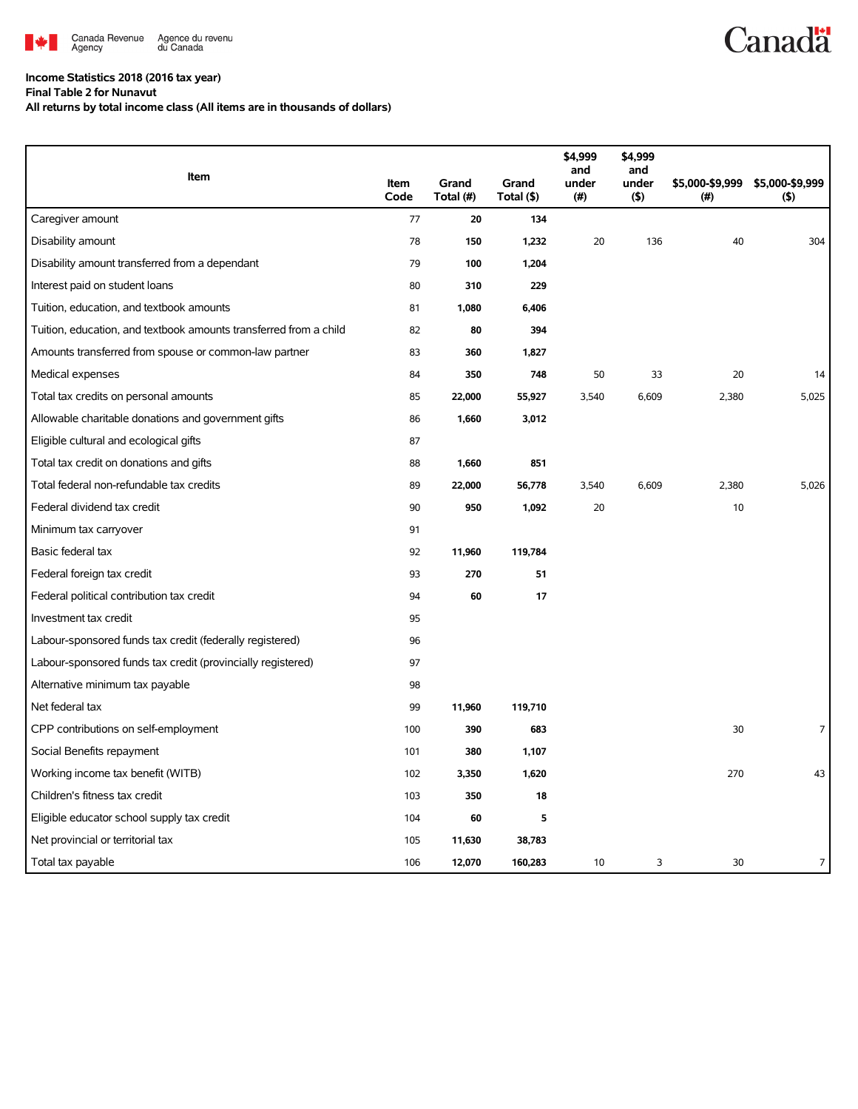

## **Income Statistics 2018 (2016 tax year)**

**Final Table 2 for Nunavut**

**All returns by total income class (All items are in thousands of dollars)**

|                                                                   |              |                    |                     | \$4,999<br>and | \$4,999<br>and |                         |                            |
|-------------------------------------------------------------------|--------------|--------------------|---------------------|----------------|----------------|-------------------------|----------------------------|
| Item                                                              | Item<br>Code | Grand<br>Total (#) | Grand<br>Total (\$) | under<br>(#)   | under<br>(5)   | \$5,000-\$9,999<br>(# ) | \$5,000-\$9,999<br>$($ \$) |
| Caregiver amount                                                  | 77           | 20                 | 134                 |                |                |                         |                            |
| Disability amount                                                 | 78           | 150                | 1,232               | 20             | 136            | 40                      | 304                        |
| Disability amount transferred from a dependant                    | 79           | 100                | 1,204               |                |                |                         |                            |
| Interest paid on student loans                                    | 80           | 310                | 229                 |                |                |                         |                            |
| Tuition, education, and textbook amounts                          | 81           | 1,080              | 6,406               |                |                |                         |                            |
| Tuition, education, and textbook amounts transferred from a child | 82           | 80                 | 394                 |                |                |                         |                            |
| Amounts transferred from spouse or common-law partner             | 83           | 360                | 1,827               |                |                |                         |                            |
| Medical expenses                                                  | 84           | 350                | 748                 | 50             | 33             | 20                      | 14                         |
| Total tax credits on personal amounts                             | 85           | 22,000             | 55,927              | 3,540          | 6,609          | 2,380                   | 5,025                      |
| Allowable charitable donations and government gifts               | 86           | 1,660              | 3,012               |                |                |                         |                            |
| Eligible cultural and ecological gifts                            | 87           |                    |                     |                |                |                         |                            |
| Total tax credit on donations and gifts                           | 88           | 1,660              | 851                 |                |                |                         |                            |
| Total federal non-refundable tax credits                          | 89           | 22,000             | 56,778              | 3,540          | 6,609          | 2,380                   | 5,026                      |
| Federal dividend tax credit                                       | 90           | 950                | 1,092               | 20             |                | 10                      |                            |
| Minimum tax carryover                                             | 91           |                    |                     |                |                |                         |                            |
| Basic federal tax                                                 | 92           | 11,960             | 119,784             |                |                |                         |                            |
| Federal foreign tax credit                                        | 93           | 270                | 51                  |                |                |                         |                            |
| Federal political contribution tax credit                         | 94           | 60                 | 17                  |                |                |                         |                            |
| Investment tax credit                                             | 95           |                    |                     |                |                |                         |                            |
| Labour-sponsored funds tax credit (federally registered)          | 96           |                    |                     |                |                |                         |                            |
| Labour-sponsored funds tax credit (provincially registered)       | 97           |                    |                     |                |                |                         |                            |
| Alternative minimum tax payable                                   | 98           |                    |                     |                |                |                         |                            |
| Net federal tax                                                   | 99           | 11,960             | 119,710             |                |                |                         |                            |
| CPP contributions on self-employment                              | 100          | 390                | 683                 |                |                | 30                      | 7                          |
| Social Benefits repayment                                         | 101          | 380                | 1,107               |                |                |                         |                            |
| Working income tax benefit (WITB)                                 | 102          | 3,350              | 1,620               |                |                | 270                     | 43                         |
| Children's fitness tax credit                                     | 103          | 350                | 18                  |                |                |                         |                            |
| Eligible educator school supply tax credit                        | 104          | 60                 | 5                   |                |                |                         |                            |
| Net provincial or territorial tax                                 | 105          | 11,630             | 38,783              |                |                |                         |                            |
| Total tax payable                                                 | 106          | 12,070             | 160,283             | 10             | 3              | 30                      | 7                          |

**Canadä**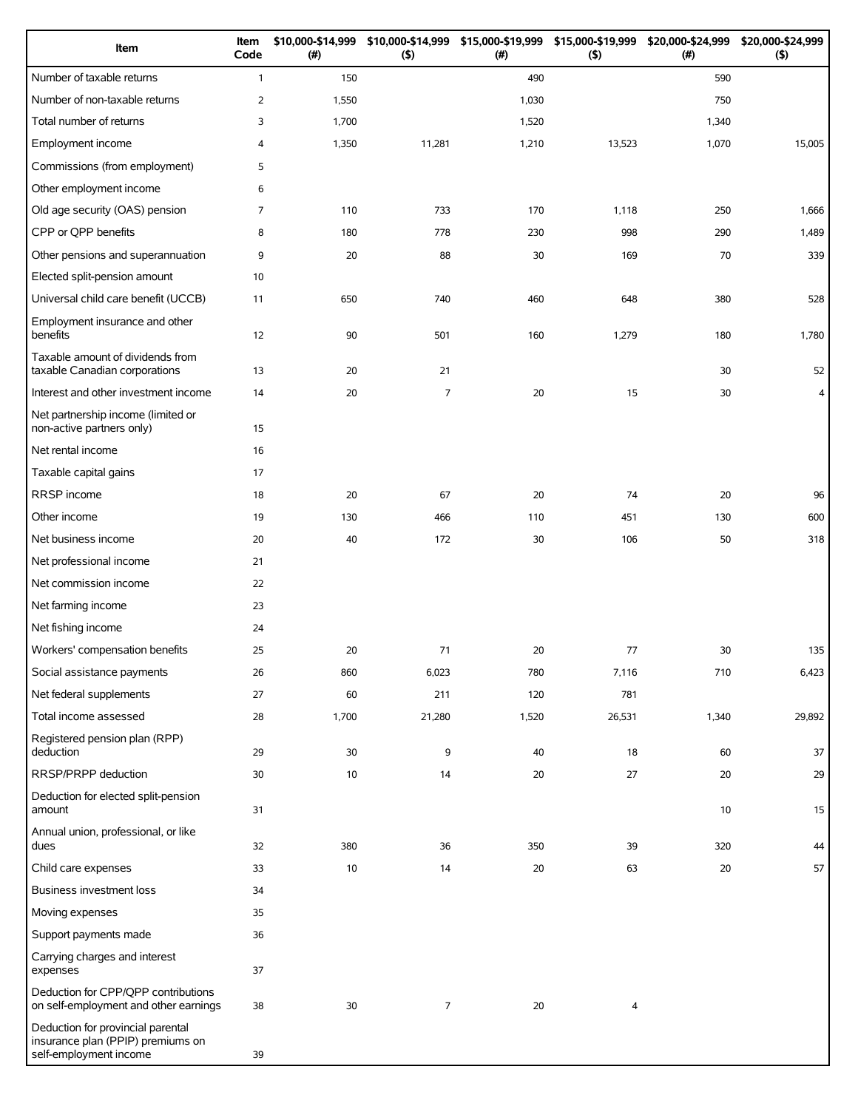| Item                                                                                             | Item<br>Code   | \$10,000-\$14,999<br>(#) | (5)            | \$10,000-\$14,999 \$15,000-\$19,999 \$15,000-\$19,999<br>(#) | (5)                     | \$20,000-\$24,999<br>(# ) | \$20,000-\$24,999<br>$($ \$) |
|--------------------------------------------------------------------------------------------------|----------------|--------------------------|----------------|--------------------------------------------------------------|-------------------------|---------------------------|------------------------------|
| Number of taxable returns                                                                        | $\mathbf{1}$   | 150                      |                | 490                                                          |                         | 590                       |                              |
| Number of non-taxable returns                                                                    | $\overline{2}$ | 1,550                    |                | 1,030                                                        |                         | 750                       |                              |
| Total number of returns                                                                          | 3              | 1,700                    |                | 1,520                                                        |                         | 1,340                     |                              |
| Employment income                                                                                | 4              | 1,350                    | 11,281         | 1,210                                                        | 13,523                  | 1,070                     | 15,005                       |
| Commissions (from employment)                                                                    | 5              |                          |                |                                                              |                         |                           |                              |
| Other employment income                                                                          | 6              |                          |                |                                                              |                         |                           |                              |
| Old age security (OAS) pension                                                                   | 7              | 110                      | 733            | 170                                                          | 1,118                   | 250                       | 1,666                        |
| CPP or QPP benefits                                                                              | 8              | 180                      | 778            | 230                                                          | 998                     | 290                       | 1,489                        |
| Other pensions and superannuation                                                                | 9              | 20                       | 88             | 30                                                           | 169                     | 70                        | 339                          |
| Elected split-pension amount                                                                     | 10             |                          |                |                                                              |                         |                           |                              |
| Universal child care benefit (UCCB)                                                              | 11             | 650                      | 740            | 460                                                          | 648                     | 380                       | 528                          |
| Employment insurance and other<br>benefits                                                       | 12             | 90                       | 501            | 160                                                          | 1,279                   | 180                       | 1,780                        |
| Taxable amount of dividends from<br>taxable Canadian corporations                                | 13             | 20                       | 21             |                                                              |                         | 30                        | 52                           |
| Interest and other investment income                                                             | 14             | 20                       | 7              | 20                                                           | 15                      | 30                        | 4                            |
| Net partnership income (limited or<br>non-active partners only)                                  | 15             |                          |                |                                                              |                         |                           |                              |
| Net rental income                                                                                | 16             |                          |                |                                                              |                         |                           |                              |
| Taxable capital gains                                                                            | 17             |                          |                |                                                              |                         |                           |                              |
| RRSP income                                                                                      | 18             | 20                       | 67             | 20                                                           | 74                      | 20                        | 96                           |
| Other income                                                                                     | 19             | 130                      | 466            | 110                                                          | 451                     | 130                       | 600                          |
| Net business income                                                                              | 20             | 40                       | 172            | 30                                                           | 106                     | 50                        | 318                          |
| Net professional income                                                                          | 21             |                          |                |                                                              |                         |                           |                              |
| Net commission income                                                                            | 22             |                          |                |                                                              |                         |                           |                              |
| Net farming income                                                                               | 23             |                          |                |                                                              |                         |                           |                              |
| Net fishing income                                                                               | 24             |                          |                |                                                              |                         |                           |                              |
| Workers' compensation benefits                                                                   | 25             | 20                       | 71             | 20                                                           | 77                      | 30                        | 135                          |
| Social assistance payments                                                                       | 26             | 860                      | 6,023          | 780                                                          | 7,116                   | 710                       | 6,423                        |
| Net federal supplements                                                                          | 27             | 60                       | 211            | 120                                                          | 781                     |                           |                              |
| Total income assessed                                                                            | 28             | 1,700                    | 21,280         | 1,520                                                        | 26,531                  | 1,340                     | 29,892                       |
| Registered pension plan (RPP)<br>deduction                                                       | 29             | 30                       | 9              | 40                                                           | 18                      | 60                        | 37                           |
| RRSP/PRPP deduction                                                                              | 30             | 10                       | 14             | 20                                                           | 27                      | 20                        | 29                           |
| Deduction for elected split-pension<br>amount                                                    | 31             |                          |                |                                                              |                         | 10                        | 15                           |
| Annual union, professional, or like<br>dues                                                      | 32             | 380                      | 36             | 350                                                          | 39                      | 320                       | 44                           |
| Child care expenses                                                                              | 33             | 10                       | 14             | 20                                                           | 63                      | 20                        | 57                           |
| Business investment loss                                                                         | 34             |                          |                |                                                              |                         |                           |                              |
| Moving expenses                                                                                  | 35             |                          |                |                                                              |                         |                           |                              |
| Support payments made                                                                            | 36             |                          |                |                                                              |                         |                           |                              |
| Carrying charges and interest<br>expenses                                                        | 37             |                          |                |                                                              |                         |                           |                              |
| Deduction for CPP/QPP contributions<br>on self-employment and other earnings                     | 38             | 30                       | $\overline{7}$ | 20                                                           | $\overline{\mathbf{4}}$ |                           |                              |
| Deduction for provincial parental<br>insurance plan (PPIP) premiums on<br>self-employment income | 39             |                          |                |                                                              |                         |                           |                              |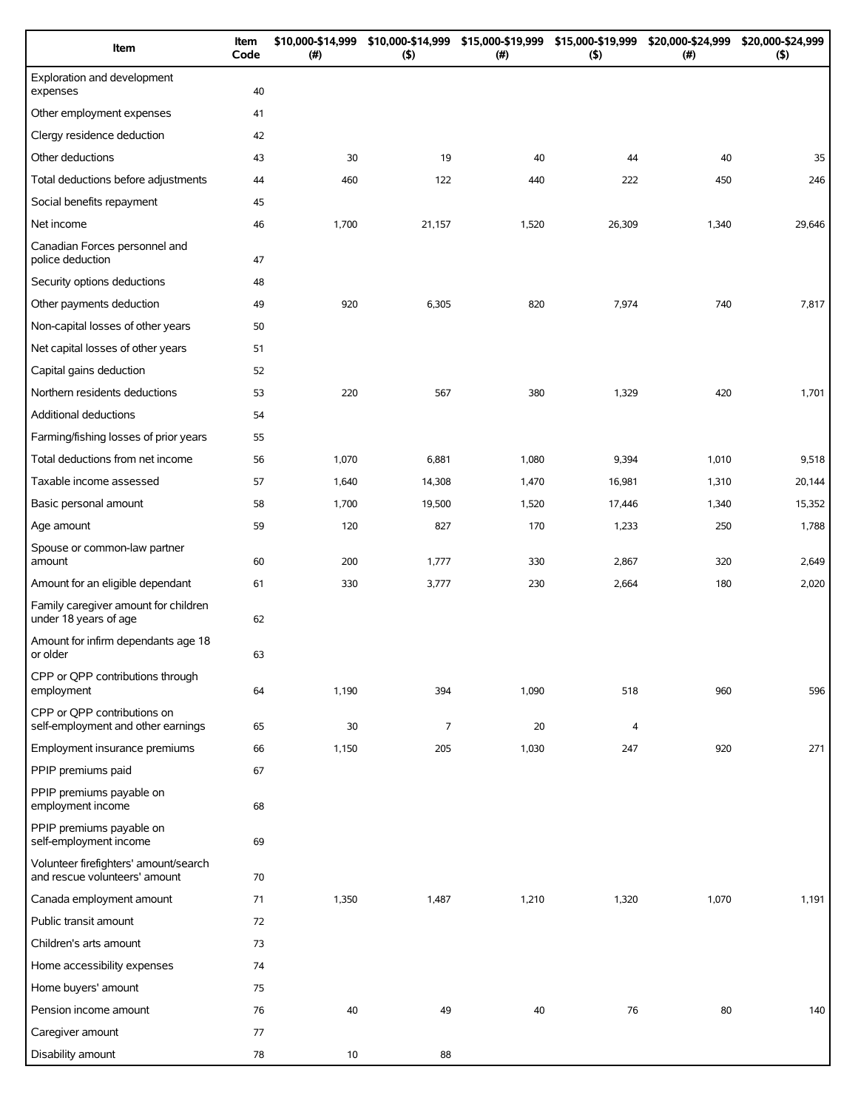| Item                                                                   | Item<br>Code | \$10,000-\$14,999<br>(#) | \$10,000-\$14,999<br>(5) | \$15,000-\$19,999<br>(# ) | \$15,000-\$19,999<br>$($ \$) | \$20,000-\$24,999<br>(#) | \$20,000-\$24,999<br>(5) |
|------------------------------------------------------------------------|--------------|--------------------------|--------------------------|---------------------------|------------------------------|--------------------------|--------------------------|
| Exploration and development<br>expenses                                | 40           |                          |                          |                           |                              |                          |                          |
| Other employment expenses                                              | 41           |                          |                          |                           |                              |                          |                          |
| Clergy residence deduction                                             | 42           |                          |                          |                           |                              |                          |                          |
| Other deductions                                                       | 43           | 30                       | 19                       | 40                        | 44                           | 40                       | 35                       |
| Total deductions before adjustments                                    | 44           | 460                      | 122                      | 440                       | 222                          | 450                      | 246                      |
| Social benefits repayment                                              | 45           |                          |                          |                           |                              |                          |                          |
| Net income                                                             | 46           | 1,700                    | 21,157                   | 1,520                     | 26,309                       | 1,340                    | 29,646                   |
| Canadian Forces personnel and<br>police deduction                      | 47           |                          |                          |                           |                              |                          |                          |
| Security options deductions                                            | 48           |                          |                          |                           |                              |                          |                          |
| Other payments deduction                                               | 49           | 920                      | 6,305                    | 820                       | 7,974                        | 740                      | 7,817                    |
| Non-capital losses of other years                                      | 50           |                          |                          |                           |                              |                          |                          |
| Net capital losses of other years                                      | 51           |                          |                          |                           |                              |                          |                          |
| Capital gains deduction                                                | 52           |                          |                          |                           |                              |                          |                          |
| Northern residents deductions                                          | 53           | 220                      | 567                      | 380                       | 1,329                        | 420                      | 1,701                    |
| Additional deductions                                                  | 54           |                          |                          |                           |                              |                          |                          |
| Farming/fishing losses of prior years                                  | 55           |                          |                          |                           |                              |                          |                          |
| Total deductions from net income                                       | 56           | 1,070                    | 6,881                    | 1,080                     | 9,394                        | 1,010                    | 9,518                    |
| Taxable income assessed                                                | 57           | 1,640                    | 14,308                   | 1,470                     | 16,981                       | 1,310                    | 20,144                   |
| Basic personal amount                                                  | 58           | 1,700                    | 19,500                   | 1,520                     | 17,446                       | 1,340                    | 15,352                   |
| Age amount                                                             | 59           | 120                      | 827                      | 170                       | 1,233                        | 250                      | 1,788                    |
| Spouse or common-law partner<br>amount                                 | 60           | 200                      | 1,777                    | 330                       | 2,867                        | 320                      | 2,649                    |
| Amount for an eligible dependant                                       | 61           | 330                      | 3,777                    | 230                       | 2,664                        | 180                      | 2,020                    |
| Family caregiver amount for children<br>under 18 years of age          | 62           |                          |                          |                           |                              |                          |                          |
| Amount for infirm dependants age 18<br>or older                        | 63           |                          |                          |                           |                              |                          |                          |
| CPP or QPP contributions through<br>employment                         | 64           | 1,190                    | 394                      | 1,090                     | 518                          | 960                      | 596                      |
| CPP or QPP contributions on<br>self-employment and other earnings      | 65           | 30                       | $\overline{7}$           | 20                        | 4                            |                          |                          |
| Employment insurance premiums                                          | 66           | 1,150                    | 205                      | 1,030                     | 247                          | 920                      | 271                      |
| PPIP premiums paid                                                     | 67           |                          |                          |                           |                              |                          |                          |
| PPIP premiums payable on<br>employment income                          | 68           |                          |                          |                           |                              |                          |                          |
| PPIP premiums payable on<br>self-employment income                     | 69           |                          |                          |                           |                              |                          |                          |
| Volunteer firefighters' amount/search<br>and rescue volunteers' amount | 70           |                          |                          |                           |                              |                          |                          |
| Canada employment amount                                               | 71           | 1,350                    | 1,487                    | 1,210                     | 1,320                        | 1,070                    | 1,191                    |
| Public transit amount                                                  | 72           |                          |                          |                           |                              |                          |                          |
| Children's arts amount                                                 | 73           |                          |                          |                           |                              |                          |                          |
| Home accessibility expenses                                            | 74           |                          |                          |                           |                              |                          |                          |
| Home buyers' amount                                                    | 75           |                          |                          |                           |                              |                          |                          |
| Pension income amount                                                  | 76           | 40                       | 49                       | 40                        | 76                           | 80                       | 140                      |
| Caregiver amount                                                       | 77           |                          |                          |                           |                              |                          |                          |
| Disability amount                                                      | 78           | 10                       | 88                       |                           |                              |                          |                          |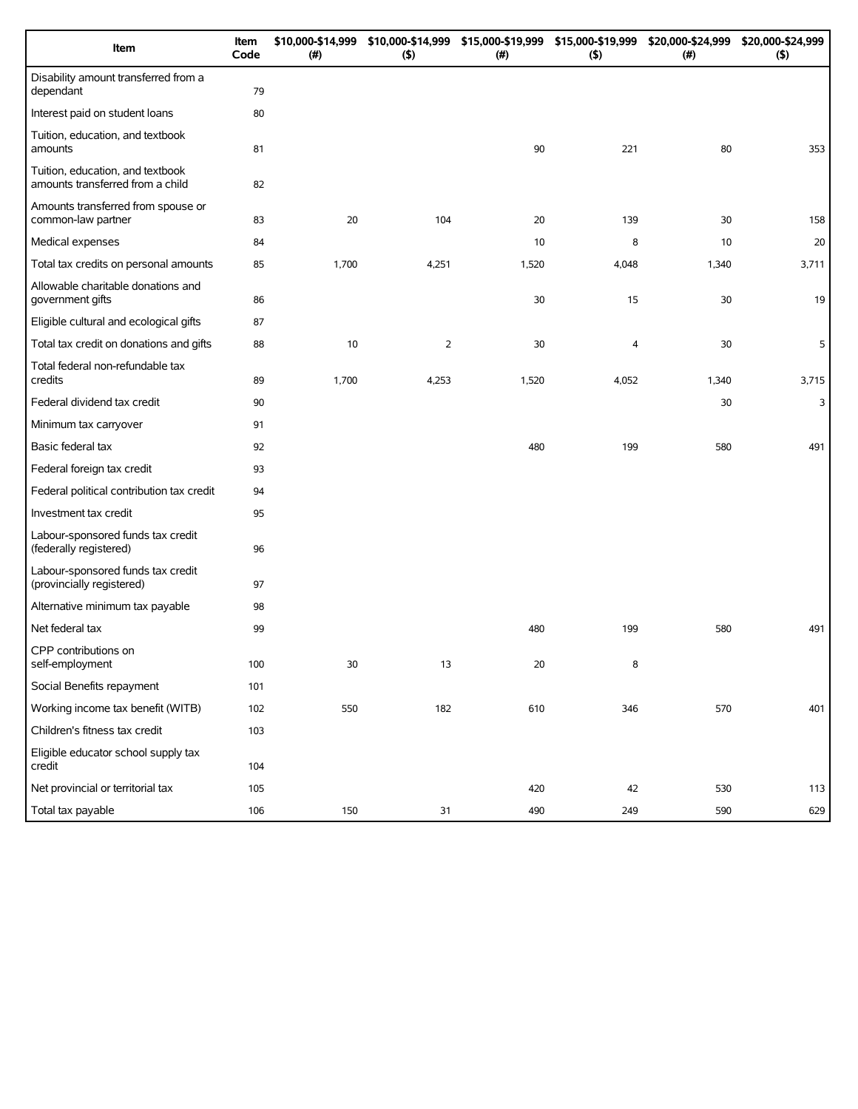| Item                                                                 | Item<br>Code | \$10,000-\$14,999<br>(#) | (5)            | \$10,000-\$14,999 \$15,000-\$19,999 \$15,000-\$19,999<br>(#) | (5)   | \$20,000-\$24,999<br>(#) | \$20,000-\$24,999<br>(5) |
|----------------------------------------------------------------------|--------------|--------------------------|----------------|--------------------------------------------------------------|-------|--------------------------|--------------------------|
| Disability amount transferred from a<br>dependant                    | 79           |                          |                |                                                              |       |                          |                          |
| Interest paid on student loans                                       | 80           |                          |                |                                                              |       |                          |                          |
| Tuition, education, and textbook<br>amounts                          | 81           |                          |                | 90                                                           | 221   | 80                       | 353                      |
| Tuition, education, and textbook<br>amounts transferred from a child | 82           |                          |                |                                                              |       |                          |                          |
| Amounts transferred from spouse or<br>common-law partner             | 83           | 20                       | 104            | 20                                                           | 139   | 30                       | 158                      |
| Medical expenses                                                     | 84           |                          |                | 10                                                           | 8     | 10                       | 20                       |
| Total tax credits on personal amounts                                | 85           | 1,700                    | 4,251          | 1,520                                                        | 4,048 | 1,340                    | 3,711                    |
| Allowable charitable donations and<br>government gifts               | 86           |                          |                | 30                                                           | 15    | 30                       | 19                       |
| Eligible cultural and ecological gifts                               | 87           |                          |                |                                                              |       |                          |                          |
| Total tax credit on donations and gifts                              | 88           | 10                       | $\overline{2}$ | 30                                                           | 4     | 30                       | 5                        |
| Total federal non-refundable tax<br>credits                          | 89           | 1,700                    | 4,253          | 1,520                                                        | 4,052 | 1,340                    | 3,715                    |
| Federal dividend tax credit                                          | 90           |                          |                |                                                              |       | 30                       | 3                        |
| Minimum tax carryover                                                | 91           |                          |                |                                                              |       |                          |                          |
| Basic federal tax                                                    | 92           |                          |                | 480                                                          | 199   | 580                      | 491                      |
| Federal foreign tax credit                                           | 93           |                          |                |                                                              |       |                          |                          |
| Federal political contribution tax credit                            | 94           |                          |                |                                                              |       |                          |                          |
| Investment tax credit                                                | 95           |                          |                |                                                              |       |                          |                          |
| Labour-sponsored funds tax credit<br>(federally registered)          | 96           |                          |                |                                                              |       |                          |                          |
| Labour-sponsored funds tax credit<br>(provincially registered)       | 97           |                          |                |                                                              |       |                          |                          |
| Alternative minimum tax payable                                      | 98           |                          |                |                                                              |       |                          |                          |
| Net federal tax                                                      | 99           |                          |                | 480                                                          | 199   | 580                      | 491                      |
| CPP contributions on<br>self-employment                              | 100          | 30                       | 13             | 20                                                           | 8     |                          |                          |
| Social Benefits repayment                                            | 101          |                          |                |                                                              |       |                          |                          |
| Working income tax benefit (WITB)                                    | 102          | 550                      | 182            | 610                                                          | 346   | 570                      | 401                      |
| Children's fitness tax credit                                        | 103          |                          |                |                                                              |       |                          |                          |
| Eligible educator school supply tax<br>credit                        | 104          |                          |                |                                                              |       |                          |                          |
| Net provincial or territorial tax                                    | 105          |                          |                | 420                                                          | 42    | 530                      | 113                      |
| Total tax payable                                                    | 106          | 150                      | 31             | 490                                                          | 249   | 590                      | 629                      |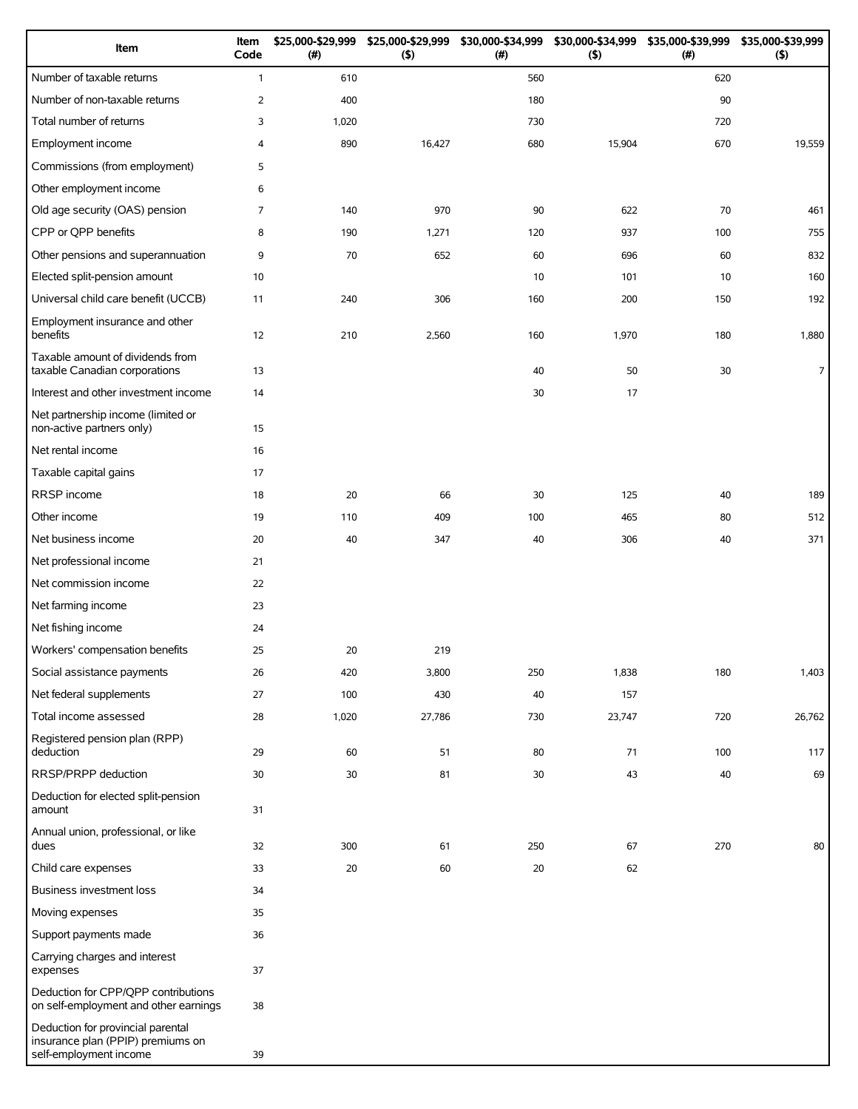| Item                                                                                             | Item<br>Code   | \$25,000-\$29,999<br>(#) | \$25,000-\$29,999<br>(5) | \$30,000-\$34,999<br>(# ) | (5)    | \$30,000-\$34,999 \$35,000-\$39,999<br>(# ) | \$35,000-\$39,999<br>$($ \$) |
|--------------------------------------------------------------------------------------------------|----------------|--------------------------|--------------------------|---------------------------|--------|---------------------------------------------|------------------------------|
| Number of taxable returns                                                                        | $\mathbf{1}$   | 610                      |                          | 560                       |        | 620                                         |                              |
| Number of non-taxable returns                                                                    | $\overline{2}$ | 400                      |                          | 180                       |        | 90                                          |                              |
| Total number of returns                                                                          | 3              | 1,020                    |                          | 730                       |        | 720                                         |                              |
| Employment income                                                                                | 4              | 890                      | 16,427                   | 680                       | 15,904 | 670                                         | 19,559                       |
| Commissions (from employment)                                                                    | 5              |                          |                          |                           |        |                                             |                              |
| Other employment income                                                                          | 6              |                          |                          |                           |        |                                             |                              |
| Old age security (OAS) pension                                                                   | 7              | 140                      | 970                      | 90                        | 622    | 70                                          | 461                          |
| CPP or QPP benefits                                                                              | 8              | 190                      | 1,271                    | 120                       | 937    | 100                                         | 755                          |
| Other pensions and superannuation                                                                | 9              | 70                       | 652                      | 60                        | 696    | 60                                          | 832                          |
| Elected split-pension amount                                                                     | 10             |                          |                          | 10                        | 101    | 10                                          | 160                          |
| Universal child care benefit (UCCB)                                                              | 11             | 240                      | 306                      | 160                       | 200    | 150                                         | 192                          |
| Employment insurance and other<br>benefits                                                       | 12             | 210                      | 2,560                    | 160                       | 1,970  | 180                                         | 1,880                        |
| Taxable amount of dividends from<br>taxable Canadian corporations                                | 13             |                          |                          | 40                        | 50     | 30                                          | $\overline{7}$               |
| Interest and other investment income                                                             | 14             |                          |                          | 30                        | 17     |                                             |                              |
| Net partnership income (limited or<br>non-active partners only)                                  | 15             |                          |                          |                           |        |                                             |                              |
| Net rental income                                                                                | 16             |                          |                          |                           |        |                                             |                              |
| Taxable capital gains                                                                            | 17             |                          |                          |                           |        |                                             |                              |
| RRSP income                                                                                      | 18             | 20                       | 66                       | 30                        | 125    | 40                                          | 189                          |
| Other income                                                                                     | 19             | 110                      | 409                      | 100                       | 465    | 80                                          | 512                          |
| Net business income                                                                              | 20             | 40                       | 347                      | 40                        | 306    | 40                                          | 371                          |
| Net professional income                                                                          | 21             |                          |                          |                           |        |                                             |                              |
| Net commission income                                                                            | 22             |                          |                          |                           |        |                                             |                              |
| Net farming income                                                                               | 23             |                          |                          |                           |        |                                             |                              |
| Net fishing income                                                                               | 24             |                          |                          |                           |        |                                             |                              |
| Workers' compensation benefits                                                                   | 25             | 20                       | 219                      |                           |        |                                             |                              |
| Social assistance payments                                                                       | 26             | 420                      | 3,800                    | 250                       | 1,838  | 180                                         | 1,403                        |
| Net federal supplements                                                                          | 27             | 100                      | 430                      | 40                        | 157    |                                             |                              |
| Total income assessed                                                                            | 28             | 1,020                    | 27,786                   | 730                       | 23,747 | 720                                         | 26,762                       |
| Registered pension plan (RPP)<br>deduction                                                       | 29             | 60                       | 51                       | 80                        | 71     | 100                                         | 117                          |
| RRSP/PRPP deduction                                                                              | 30             | 30                       | 81                       | 30                        | 43     | 40                                          | 69                           |
| Deduction for elected split-pension<br>amount                                                    | 31             |                          |                          |                           |        |                                             |                              |
| Annual union, professional, or like<br>dues                                                      | 32             | 300                      | 61                       | 250                       | 67     | 270                                         | 80                           |
| Child care expenses                                                                              | 33             | 20                       | 60                       | 20                        | 62     |                                             |                              |
| Business investment loss                                                                         | 34             |                          |                          |                           |        |                                             |                              |
| Moving expenses                                                                                  | 35             |                          |                          |                           |        |                                             |                              |
| Support payments made                                                                            | 36             |                          |                          |                           |        |                                             |                              |
| Carrying charges and interest<br>expenses                                                        | 37             |                          |                          |                           |        |                                             |                              |
| Deduction for CPP/QPP contributions<br>on self-employment and other earnings                     | 38             |                          |                          |                           |        |                                             |                              |
| Deduction for provincial parental<br>insurance plan (PPIP) premiums on<br>self-employment income | 39             |                          |                          |                           |        |                                             |                              |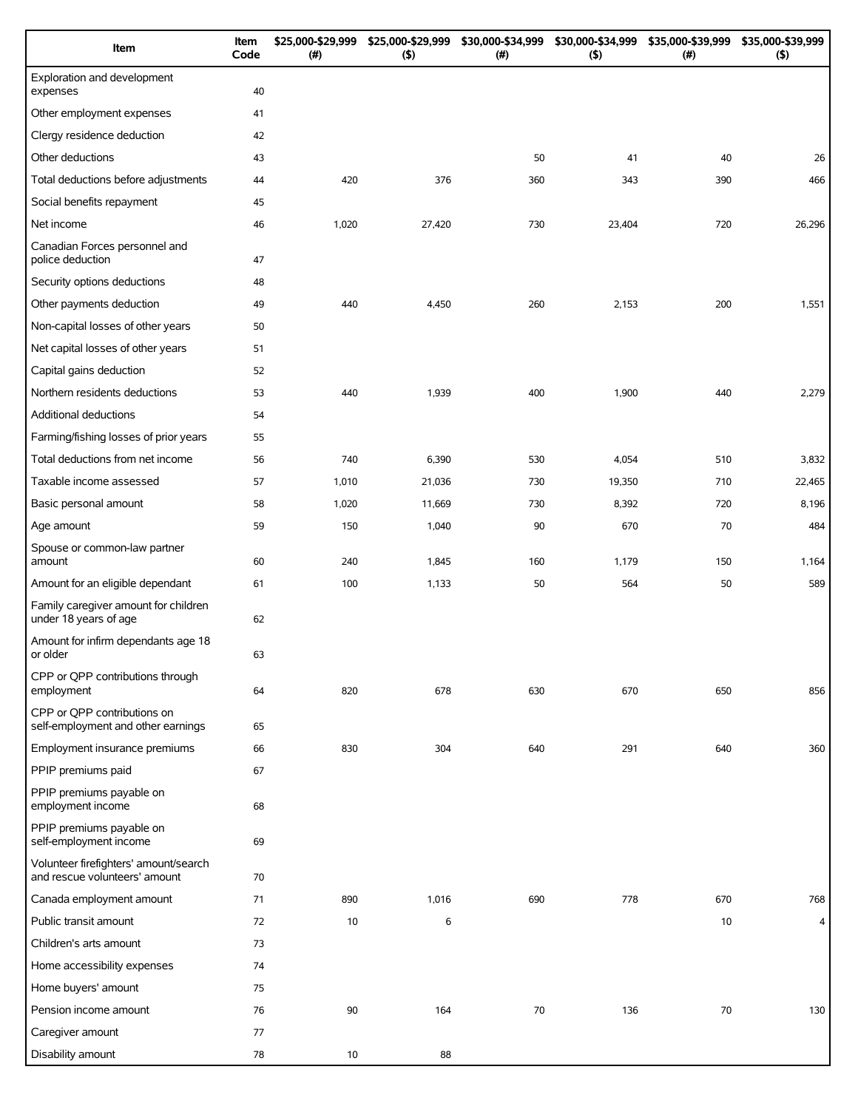| Item                                                                   | Item<br>Code | \$25,000-\$29,999<br>(#) | \$25,000-\$29,999<br>(5) | \$30,000-\$34,999<br>(#) | \$30,000-\$34,999<br>(5) | \$35,000-\$39,999<br>(#) | \$35,000-\$39,999<br>(5) |
|------------------------------------------------------------------------|--------------|--------------------------|--------------------------|--------------------------|--------------------------|--------------------------|--------------------------|
| Exploration and development<br>expenses                                | 40           |                          |                          |                          |                          |                          |                          |
| Other employment expenses                                              | 41           |                          |                          |                          |                          |                          |                          |
| Clergy residence deduction                                             | 42           |                          |                          |                          |                          |                          |                          |
| Other deductions                                                       | 43           |                          |                          | 50                       | 41                       | 40                       | 26                       |
| Total deductions before adjustments                                    | 44           | 420                      | 376                      | 360                      | 343                      | 390                      | 466                      |
| Social benefits repayment                                              | 45           |                          |                          |                          |                          |                          |                          |
| Net income                                                             | 46           | 1,020                    | 27,420                   | 730                      | 23,404                   | 720                      | 26,296                   |
| Canadian Forces personnel and<br>police deduction                      | 47           |                          |                          |                          |                          |                          |                          |
| Security options deductions                                            | 48           |                          |                          |                          |                          |                          |                          |
| Other payments deduction                                               | 49           | 440                      | 4,450                    | 260                      | 2,153                    | 200                      | 1,551                    |
| Non-capital losses of other years                                      | 50           |                          |                          |                          |                          |                          |                          |
| Net capital losses of other years                                      | 51           |                          |                          |                          |                          |                          |                          |
| Capital gains deduction                                                | 52           |                          |                          |                          |                          |                          |                          |
| Northern residents deductions                                          | 53           | 440                      | 1,939                    | 400                      | 1,900                    | 440                      | 2,279                    |
| Additional deductions                                                  | 54           |                          |                          |                          |                          |                          |                          |
| Farming/fishing losses of prior years                                  | 55           |                          |                          |                          |                          |                          |                          |
| Total deductions from net income                                       | 56           | 740                      | 6,390                    | 530                      | 4,054                    | 510                      | 3,832                    |
| Taxable income assessed                                                | 57           | 1,010                    | 21,036                   | 730                      | 19,350                   | 710                      | 22,465                   |
| Basic personal amount                                                  | 58           | 1,020                    | 11,669                   | 730                      | 8,392                    | 720                      | 8,196                    |
| Age amount                                                             | 59           | 150                      | 1,040                    | 90                       | 670                      | 70                       | 484                      |
| Spouse or common-law partner<br>amount                                 | 60           | 240                      | 1,845                    | 160                      | 1,179                    | 150                      | 1,164                    |
| Amount for an eligible dependant                                       | 61           | 100                      | 1,133                    | 50                       | 564                      | 50                       | 589                      |
| Family caregiver amount for children<br>under 18 years of age          | 62           |                          |                          |                          |                          |                          |                          |
| Amount for infirm dependants age 18<br>or older                        | 63           |                          |                          |                          |                          |                          |                          |
| CPP or QPP contributions through<br>employment                         | 64           | 820                      | 678                      | 630                      | 670                      | 650                      | 856                      |
| CPP or QPP contributions on<br>self-employment and other earnings      | 65           |                          |                          |                          |                          |                          |                          |
| Employment insurance premiums                                          | 66           | 830                      | 304                      | 640                      | 291                      | 640                      | 360                      |
| PPIP premiums paid                                                     | 67           |                          |                          |                          |                          |                          |                          |
| PPIP premiums payable on<br>employment income                          | 68           |                          |                          |                          |                          |                          |                          |
| PPIP premiums payable on<br>self-employment income                     | 69           |                          |                          |                          |                          |                          |                          |
| Volunteer firefighters' amount/search<br>and rescue volunteers' amount | 70           |                          |                          |                          |                          |                          |                          |
| Canada employment amount                                               | 71           | 890                      | 1,016                    | 690                      | 778                      | 670                      | 768                      |
| Public transit amount                                                  | 72           | 10                       | 6                        |                          |                          | 10                       | 4                        |
| Children's arts amount                                                 | 73           |                          |                          |                          |                          |                          |                          |
| Home accessibility expenses                                            | 74           |                          |                          |                          |                          |                          |                          |
| Home buyers' amount                                                    | 75           |                          |                          |                          |                          |                          |                          |
| Pension income amount                                                  | 76           | 90                       | 164                      | 70                       | 136                      | 70                       | 130                      |
| Caregiver amount                                                       | 77           |                          |                          |                          |                          |                          |                          |
| Disability amount                                                      | 78           | 10                       | 88                       |                          |                          |                          |                          |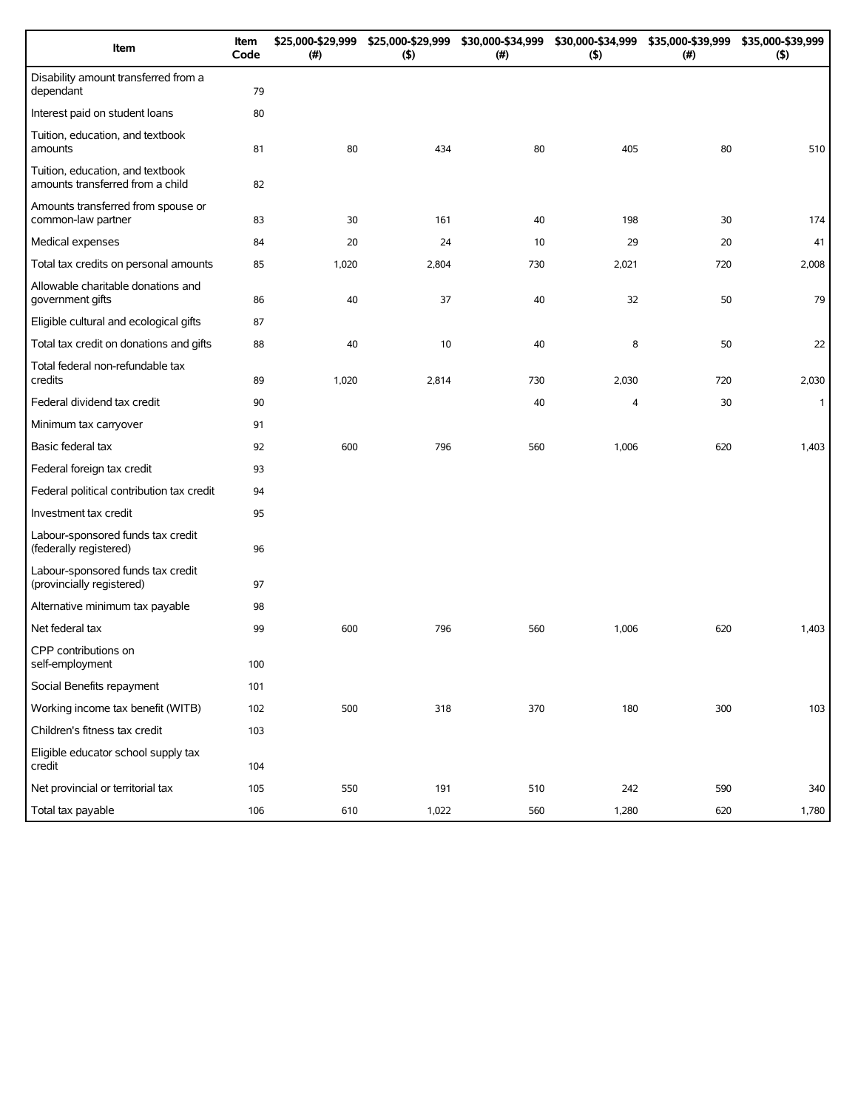| Item                                                                 | Item<br>Code | \$25,000-\$29,999<br>(#) | \$25,000-\$29,999<br>(5) | \$30,000-\$34,999<br>(#) | \$30,000-\$34,999<br>(5) | \$35,000-\$39,999<br>(#) | \$35,000-\$39,999<br>(5) |
|----------------------------------------------------------------------|--------------|--------------------------|--------------------------|--------------------------|--------------------------|--------------------------|--------------------------|
| Disability amount transferred from a<br>dependant                    | 79           |                          |                          |                          |                          |                          |                          |
| Interest paid on student loans                                       | 80           |                          |                          |                          |                          |                          |                          |
| Tuition, education, and textbook<br>amounts                          | 81           | 80                       | 434                      | 80                       | 405                      | 80                       | 510                      |
| Tuition, education, and textbook<br>amounts transferred from a child | 82           |                          |                          |                          |                          |                          |                          |
| Amounts transferred from spouse or<br>common-law partner             | 83           | 30                       | 161                      | 40                       | 198                      | 30                       | 174                      |
| Medical expenses                                                     | 84           | 20                       | 24                       | 10                       | 29                       | 20                       | 41                       |
| Total tax credits on personal amounts                                | 85           | 1,020                    | 2,804                    | 730                      | 2,021                    | 720                      | 2,008                    |
| Allowable charitable donations and<br>government gifts               | 86           | 40                       | 37                       | 40                       | 32                       | 50                       | 79                       |
| Eligible cultural and ecological gifts                               | 87           |                          |                          |                          |                          |                          |                          |
| Total tax credit on donations and gifts                              | 88           | 40                       | 10                       | 40                       | 8                        | 50                       | 22                       |
| Total federal non-refundable tax<br>credits                          | 89           | 1,020                    | 2,814                    | 730                      | 2,030                    | 720                      | 2,030                    |
| Federal dividend tax credit                                          | 90           |                          |                          | 40                       | 4                        | 30                       | $\mathbf{1}$             |
| Minimum tax carryover                                                | 91           |                          |                          |                          |                          |                          |                          |
| Basic federal tax                                                    | 92           | 600                      | 796                      | 560                      | 1,006                    | 620                      | 1,403                    |
| Federal foreign tax credit                                           | 93           |                          |                          |                          |                          |                          |                          |
| Federal political contribution tax credit                            | 94           |                          |                          |                          |                          |                          |                          |
| Investment tax credit                                                | 95           |                          |                          |                          |                          |                          |                          |
| Labour-sponsored funds tax credit<br>(federally registered)          | 96           |                          |                          |                          |                          |                          |                          |
| Labour-sponsored funds tax credit<br>(provincially registered)       | 97           |                          |                          |                          |                          |                          |                          |
| Alternative minimum tax payable                                      | 98           |                          |                          |                          |                          |                          |                          |
| Net federal tax                                                      | 99           | 600                      | 796                      | 560                      | 1,006                    | 620                      | 1,403                    |
| CPP contributions on<br>self-employment                              | 100          |                          |                          |                          |                          |                          |                          |
| Social Benefits repayment                                            | 101          |                          |                          |                          |                          |                          |                          |
| Working income tax benefit (WITB)                                    | 102          | 500                      | 318                      | 370                      | 180                      | 300                      | 103                      |
| Children's fitness tax credit                                        | 103          |                          |                          |                          |                          |                          |                          |
| Eligible educator school supply tax<br>credit                        | 104          |                          |                          |                          |                          |                          |                          |
| Net provincial or territorial tax                                    | 105          | 550                      | 191                      | 510                      | 242                      | 590                      | 340                      |
| Total tax payable                                                    | 106          | 610                      | 1,022                    | 560                      | 1,280                    | 620                      | 1,780                    |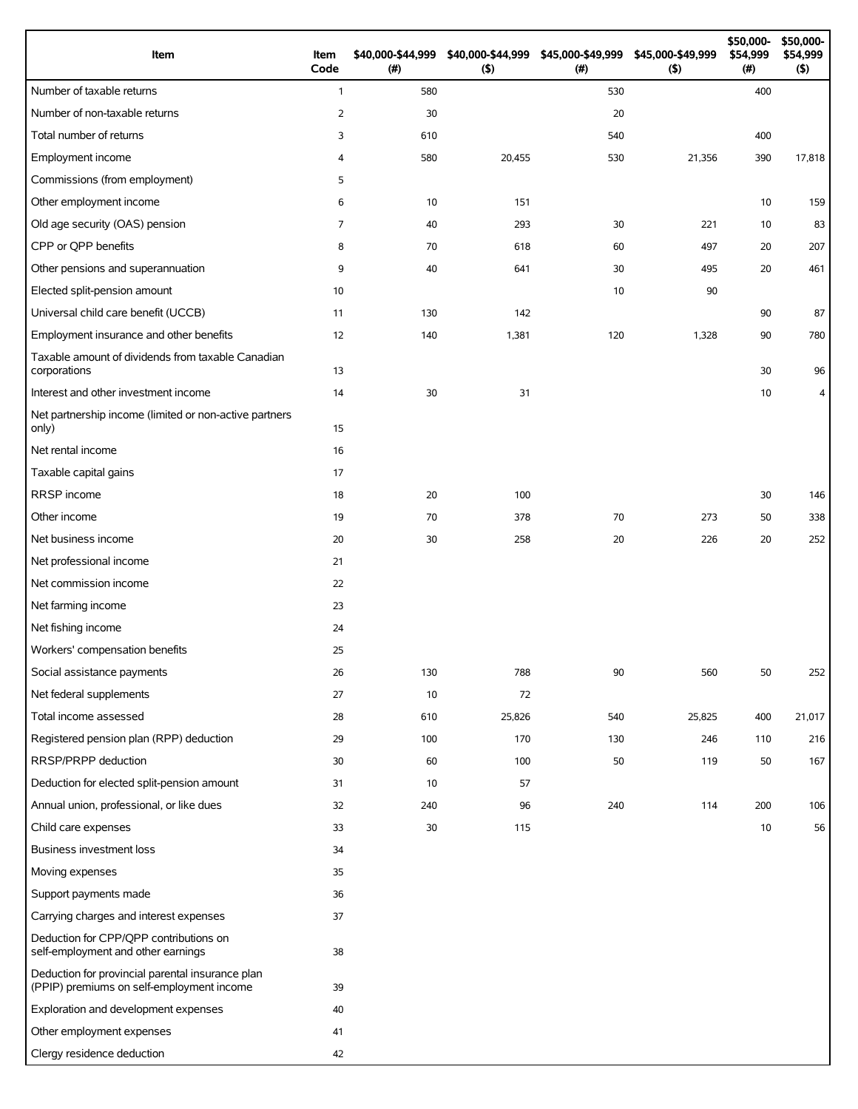| Item                                                                                          | Item<br>Code | \$40,000-\$44,999<br>$($ #) | \$40,000-\$44,999<br>(5) | \$45,000-\$49,999<br>(#) | \$45,000-\$49,999<br>(5) | \$50,000-<br>\$54,999<br>(#) | \$50,000-<br>\$54,999<br>$($ \$) |
|-----------------------------------------------------------------------------------------------|--------------|-----------------------------|--------------------------|--------------------------|--------------------------|------------------------------|----------------------------------|
| Number of taxable returns                                                                     | $\mathbf{1}$ | 580                         |                          | 530                      |                          | 400                          |                                  |
| Number of non-taxable returns                                                                 | 2            | 30                          |                          | 20                       |                          |                              |                                  |
| Total number of returns                                                                       | 3            | 610                         |                          | 540                      |                          | 400                          |                                  |
| Employment income                                                                             | 4            | 580                         | 20,455                   | 530                      | 21,356                   | 390                          | 17,818                           |
| Commissions (from employment)                                                                 | 5            |                             |                          |                          |                          |                              |                                  |
| Other employment income                                                                       | 6            | 10                          | 151                      |                          |                          | 10                           | 159                              |
| Old age security (OAS) pension                                                                | 7            | 40                          | 293                      | 30                       | 221                      | 10                           | 83                               |
| CPP or QPP benefits                                                                           | 8            | 70                          | 618                      | 60                       | 497                      | 20                           | 207                              |
| Other pensions and superannuation                                                             | 9            | 40                          | 641                      | 30                       | 495                      | 20                           | 461                              |
| Elected split-pension amount                                                                  | 10           |                             |                          | 10                       | 90                       |                              |                                  |
| Universal child care benefit (UCCB)                                                           | 11           | 130                         | 142                      |                          |                          | 90                           | 87                               |
| Employment insurance and other benefits                                                       | 12           | 140                         | 1,381                    | 120                      | 1,328                    | 90                           | 780                              |
| Taxable amount of dividends from taxable Canadian<br>corporations                             | 13           |                             |                          |                          |                          | 30                           | 96                               |
| Interest and other investment income                                                          | 14           | 30                          | 31                       |                          |                          | 10                           | 4                                |
| Net partnership income (limited or non-active partners<br>only)                               | 15           |                             |                          |                          |                          |                              |                                  |
| Net rental income                                                                             | 16           |                             |                          |                          |                          |                              |                                  |
| Taxable capital gains                                                                         | 17           |                             |                          |                          |                          |                              |                                  |
| RRSP income                                                                                   | 18           | 20                          | 100                      |                          |                          | 30                           | 146                              |
| Other income                                                                                  | 19           | 70                          | 378                      | 70                       | 273                      | 50                           | 338                              |
| Net business income                                                                           | 20           | 30                          | 258                      | 20                       | 226                      | 20                           | 252                              |
| Net professional income                                                                       | 21           |                             |                          |                          |                          |                              |                                  |
| Net commission income                                                                         | 22           |                             |                          |                          |                          |                              |                                  |
| Net farming income                                                                            | 23           |                             |                          |                          |                          |                              |                                  |
| Net fishing income                                                                            | 24           |                             |                          |                          |                          |                              |                                  |
| Workers' compensation benefits                                                                | 25           |                             |                          |                          |                          |                              |                                  |
| Social assistance payments                                                                    | 26           | 130                         | 788                      | 90                       | 560                      | 50                           | 252                              |
| Net federal supplements                                                                       | 27           | 10                          | 72                       |                          |                          |                              |                                  |
| Total income assessed                                                                         | 28           | 610                         | 25,826                   | 540                      | 25,825                   | 400                          | 21,017                           |
| Registered pension plan (RPP) deduction                                                       | 29           | 100                         | 170                      | 130                      | 246                      | 110                          | 216                              |
| RRSP/PRPP deduction                                                                           | 30           | 60                          | 100                      | 50                       | 119                      | 50                           | 167                              |
| Deduction for elected split-pension amount                                                    | 31           | 10                          | 57                       |                          |                          |                              |                                  |
| Annual union, professional, or like dues                                                      | 32           | 240                         | 96                       | 240                      | 114                      | 200                          | 106                              |
| Child care expenses                                                                           | 33           | 30                          | 115                      |                          |                          | 10                           | 56                               |
| Business investment loss                                                                      | 34           |                             |                          |                          |                          |                              |                                  |
| Moving expenses                                                                               | 35           |                             |                          |                          |                          |                              |                                  |
| Support payments made                                                                         | 36           |                             |                          |                          |                          |                              |                                  |
| Carrying charges and interest expenses                                                        | 37           |                             |                          |                          |                          |                              |                                  |
| Deduction for CPP/QPP contributions on<br>self-employment and other earnings                  | 38           |                             |                          |                          |                          |                              |                                  |
| Deduction for provincial parental insurance plan<br>(PPIP) premiums on self-employment income | 39           |                             |                          |                          |                          |                              |                                  |
| Exploration and development expenses                                                          | 40           |                             |                          |                          |                          |                              |                                  |
| Other employment expenses                                                                     | 41           |                             |                          |                          |                          |                              |                                  |
| Clergy residence deduction                                                                    | 42           |                             |                          |                          |                          |                              |                                  |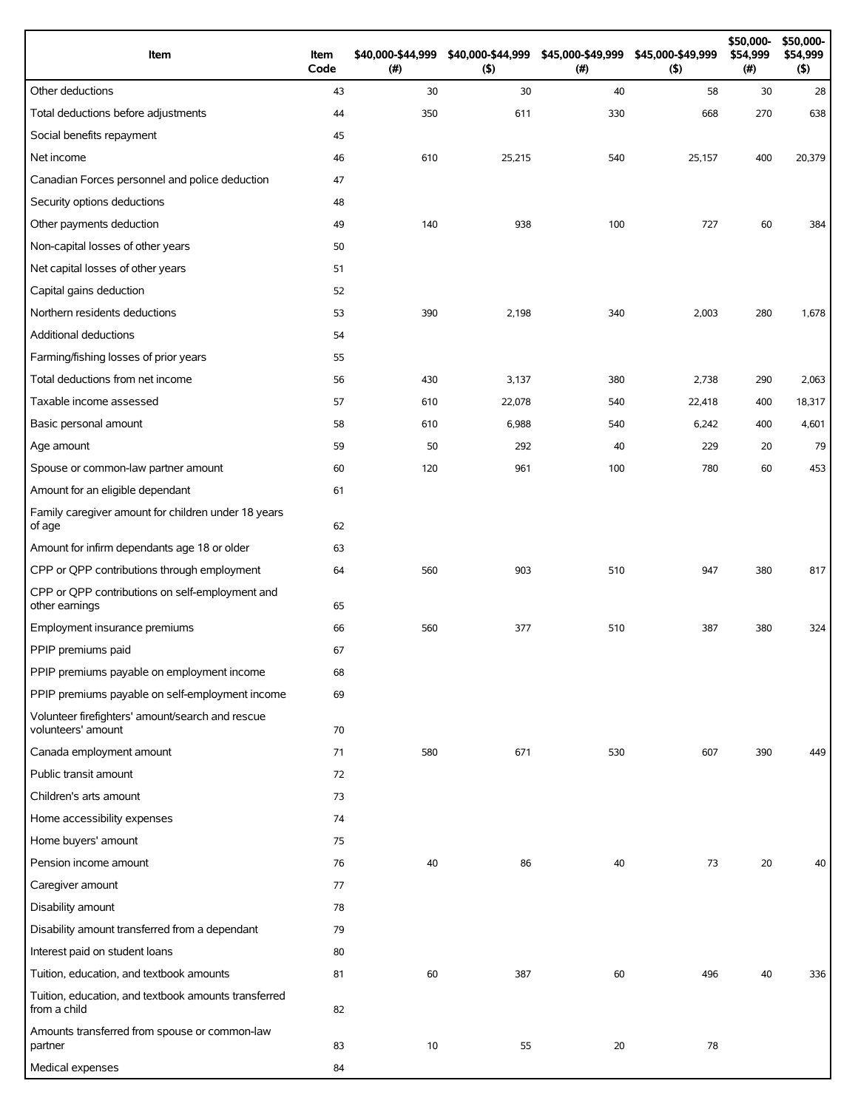| Item                                                                   | Item<br>Code | \$40,000-\$44,999<br>(# ) | \$40,000-\$44,999<br>(5) | (# ) | \$45,000-\$49,999 \$45,000-\$49,999<br>(5) | \$50,000-<br>\$54,999<br>(#) | \$50,000-<br>\$54,999<br>(5) |
|------------------------------------------------------------------------|--------------|---------------------------|--------------------------|------|--------------------------------------------|------------------------------|------------------------------|
| Other deductions                                                       | 43           | 30                        | 30                       | 40   | 58                                         | 30                           | 28                           |
| Total deductions before adjustments                                    | 44           | 350                       | 611                      | 330  | 668                                        | 270                          | 638                          |
| Social benefits repayment                                              | 45           |                           |                          |      |                                            |                              |                              |
| Net income                                                             | 46           | 610                       | 25,215                   | 540  | 25,157                                     | 400                          | 20,379                       |
| Canadian Forces personnel and police deduction                         | 47           |                           |                          |      |                                            |                              |                              |
| Security options deductions                                            | 48           |                           |                          |      |                                            |                              |                              |
| Other payments deduction                                               | 49           | 140                       | 938                      | 100  | 727                                        | 60                           | 384                          |
| Non-capital losses of other years                                      | 50           |                           |                          |      |                                            |                              |                              |
| Net capital losses of other years                                      | 51           |                           |                          |      |                                            |                              |                              |
| Capital gains deduction                                                | 52           |                           |                          |      |                                            |                              |                              |
| Northern residents deductions                                          | 53           | 390                       | 2,198                    | 340  | 2,003                                      | 280                          | 1,678                        |
| Additional deductions                                                  | 54           |                           |                          |      |                                            |                              |                              |
| Farming/fishing losses of prior years                                  | 55           |                           |                          |      |                                            |                              |                              |
| Total deductions from net income                                       | 56           | 430                       | 3,137                    | 380  | 2,738                                      | 290                          | 2,063                        |
| Taxable income assessed                                                | 57           | 610                       | 22,078                   | 540  | 22,418                                     | 400                          | 18,317                       |
| Basic personal amount                                                  | 58           | 610                       | 6,988                    | 540  | 6,242                                      | 400                          | 4,601                        |
| Age amount                                                             | 59           | 50                        | 292                      | 40   | 229                                        | 20                           | 79                           |
| Spouse or common-law partner amount                                    | 60           | 120                       | 961                      | 100  | 780                                        | 60                           | 453                          |
| Amount for an eligible dependant                                       | 61           |                           |                          |      |                                            |                              |                              |
| Family caregiver amount for children under 18 years<br>of age          | 62           |                           |                          |      |                                            |                              |                              |
| Amount for infirm dependants age 18 or older                           | 63           |                           |                          |      |                                            |                              |                              |
| CPP or QPP contributions through employment                            | 64           | 560                       | 903                      | 510  | 947                                        | 380                          | 817                          |
| CPP or QPP contributions on self-employment and<br>other earnings      | 65           |                           |                          |      |                                            |                              |                              |
| Employment insurance premiums                                          | 66           | 560                       | 377                      | 510  | 387                                        | 380                          | 324                          |
| PPIP premiums paid                                                     | 67           |                           |                          |      |                                            |                              |                              |
| PPIP premiums payable on employment income                             | 68           |                           |                          |      |                                            |                              |                              |
| PPIP premiums payable on self-employment income                        | 69           |                           |                          |      |                                            |                              |                              |
| Volunteer firefighters' amount/search and rescue<br>volunteers' amount | 70           |                           |                          |      |                                            |                              |                              |
| Canada employment amount                                               | 71           | 580                       | 671                      | 530  | 607                                        | 390                          | 449                          |
| Public transit amount                                                  | 72           |                           |                          |      |                                            |                              |                              |
| Children's arts amount                                                 | 73           |                           |                          |      |                                            |                              |                              |
| Home accessibility expenses                                            | 74           |                           |                          |      |                                            |                              |                              |
| Home buyers' amount                                                    | 75           |                           |                          |      |                                            |                              |                              |
| Pension income amount                                                  | 76           | 40                        | 86                       | 40   | 73                                         | 20                           | 40                           |
| Caregiver amount                                                       | 77           |                           |                          |      |                                            |                              |                              |
| Disability amount                                                      | 78           |                           |                          |      |                                            |                              |                              |
| Disability amount transferred from a dependant                         | 79           |                           |                          |      |                                            |                              |                              |
| Interest paid on student loans                                         | 80           |                           |                          |      |                                            |                              |                              |
| Tuition, education, and textbook amounts                               | 81           | 60                        | 387                      | 60   | 496                                        | 40                           | 336                          |
| Tuition, education, and textbook amounts transferred<br>from a child   | 82           |                           |                          |      |                                            |                              |                              |
| Amounts transferred from spouse or common-law<br>partner               | 83           | 10                        | 55                       | 20   | 78                                         |                              |                              |
| Medical expenses                                                       | 84           |                           |                          |      |                                            |                              |                              |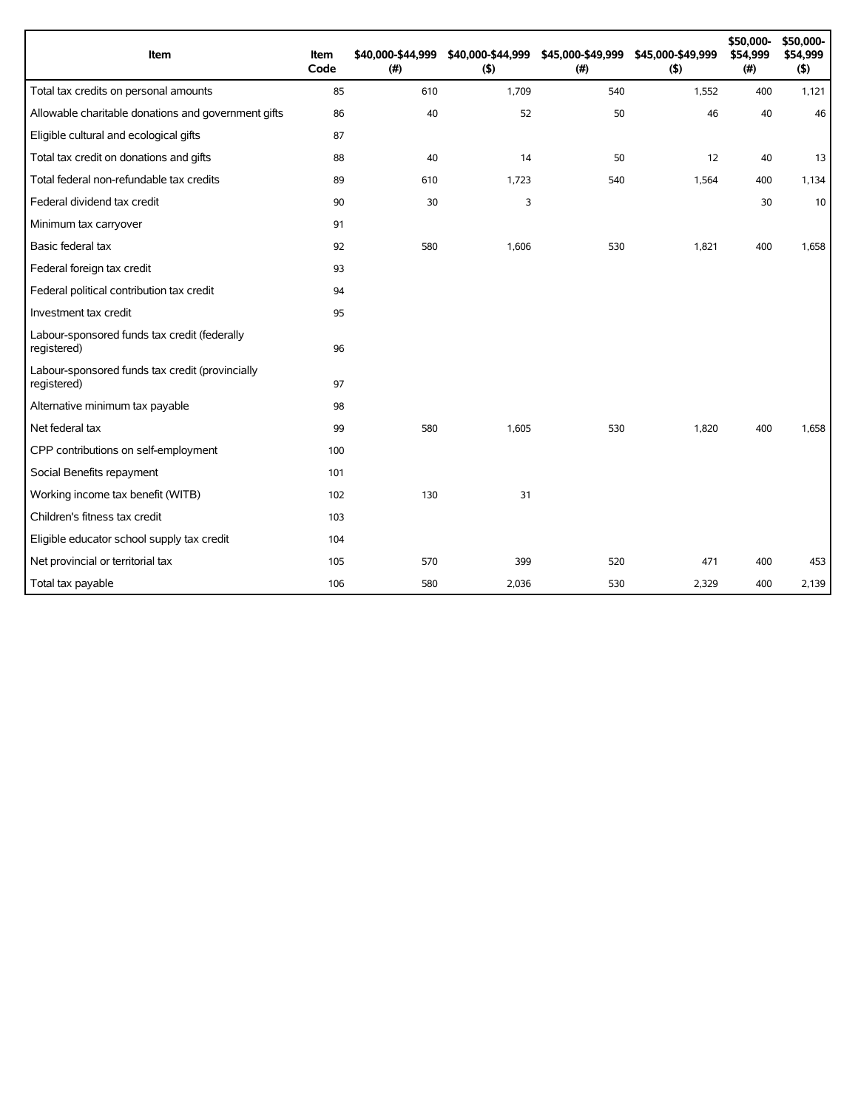| Item                                                           | Item<br>Code | \$40,000-\$44,999<br>(# ) | \$40,000-\$44,999<br>(5) | \$45,000-\$49,999<br>(#) | \$45,000-\$49,999<br>(5) | \$50,000-<br>\$54,999<br>(#) | \$50,000-<br>\$54,999<br>(5) |
|----------------------------------------------------------------|--------------|---------------------------|--------------------------|--------------------------|--------------------------|------------------------------|------------------------------|
| Total tax credits on personal amounts                          | 85           | 610                       | 1,709                    | 540                      | 1,552                    | 400                          | 1,121                        |
| Allowable charitable donations and government gifts            | 86           | 40                        | 52                       | 50                       | 46                       | 40                           | 46                           |
| Eligible cultural and ecological gifts                         | 87           |                           |                          |                          |                          |                              |                              |
| Total tax credit on donations and gifts                        | 88           | 40                        | 14                       | 50                       | 12                       | 40                           | 13                           |
| Total federal non-refundable tax credits                       | 89           | 610                       | 1,723                    | 540                      | 1,564                    | 400                          | 1,134                        |
| Federal dividend tax credit                                    | 90           | 30                        | 3                        |                          |                          | 30                           | 10                           |
| Minimum tax carryover                                          | 91           |                           |                          |                          |                          |                              |                              |
| Basic federal tax                                              | 92           | 580                       | 1,606                    | 530                      | 1,821                    | 400                          | 1,658                        |
| Federal foreign tax credit                                     | 93           |                           |                          |                          |                          |                              |                              |
| Federal political contribution tax credit                      | 94           |                           |                          |                          |                          |                              |                              |
| Investment tax credit                                          | 95           |                           |                          |                          |                          |                              |                              |
| Labour-sponsored funds tax credit (federally<br>registered)    | 96           |                           |                          |                          |                          |                              |                              |
| Labour-sponsored funds tax credit (provincially<br>registered) | 97           |                           |                          |                          |                          |                              |                              |
| Alternative minimum tax payable                                | 98           |                           |                          |                          |                          |                              |                              |
| Net federal tax                                                | 99           | 580                       | 1,605                    | 530                      | 1,820                    | 400                          | 1.658                        |
| CPP contributions on self-employment                           | 100          |                           |                          |                          |                          |                              |                              |
| Social Benefits repayment                                      | 101          |                           |                          |                          |                          |                              |                              |
| Working income tax benefit (WITB)                              | 102          | 130                       | 31                       |                          |                          |                              |                              |
| Children's fitness tax credit                                  | 103          |                           |                          |                          |                          |                              |                              |
| Eligible educator school supply tax credit                     | 104          |                           |                          |                          |                          |                              |                              |
| Net provincial or territorial tax                              | 105          | 570                       | 399                      | 520                      | 471                      | 400                          | 453                          |
| Total tax payable                                              | 106          | 580                       | 2,036                    | 530                      | 2,329                    | 400                          | 2,139                        |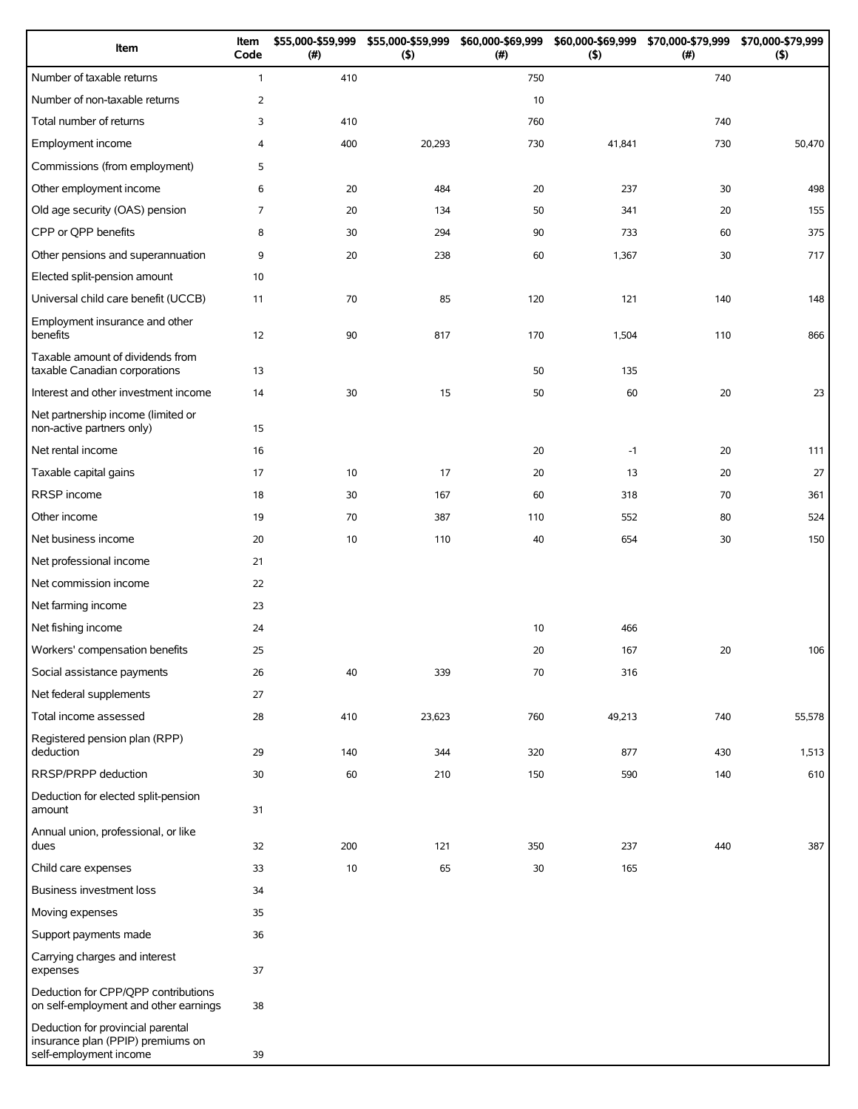| Item                                                                                             | Item<br>Code   | \$55,000-\$59,999<br>(#) | \$55,000-\$59,999<br>(5) | \$60,000-\$69,999<br>(#) | (5)    | \$60,000-\$69,999 \$70,000-\$79,999<br>(# ) | \$70,000-\$79,999<br>(5) |
|--------------------------------------------------------------------------------------------------|----------------|--------------------------|--------------------------|--------------------------|--------|---------------------------------------------|--------------------------|
| Number of taxable returns                                                                        | $\mathbf{1}$   | 410                      |                          | 750                      |        | 740                                         |                          |
| Number of non-taxable returns                                                                    | 2              |                          |                          | 10                       |        |                                             |                          |
| Total number of returns                                                                          | 3              | 410                      |                          | 760                      |        | 740                                         |                          |
| Employment income                                                                                | $\overline{4}$ | 400                      | 20,293                   | 730                      | 41,841 | 730                                         | 50,470                   |
| Commissions (from employment)                                                                    | 5              |                          |                          |                          |        |                                             |                          |
| Other employment income                                                                          | 6              | 20                       | 484                      | 20                       | 237    | 30                                          | 498                      |
| Old age security (OAS) pension                                                                   | $\overline{7}$ | 20                       | 134                      | 50                       | 341    | 20                                          | 155                      |
| CPP or QPP benefits                                                                              | 8              | 30                       | 294                      | 90                       | 733    | 60                                          | 375                      |
| Other pensions and superannuation                                                                | 9              | 20                       | 238                      | 60                       | 1,367  | 30                                          | 717                      |
| Elected split-pension amount                                                                     | 10             |                          |                          |                          |        |                                             |                          |
| Universal child care benefit (UCCB)                                                              | 11             | 70                       | 85                       | 120                      | 121    | 140                                         | 148                      |
| Employment insurance and other<br>benefits                                                       | 12             | 90                       | 817                      | 170                      | 1,504  | 110                                         | 866                      |
| Taxable amount of dividends from<br>taxable Canadian corporations                                | 13             |                          |                          | 50                       | 135    |                                             |                          |
| Interest and other investment income                                                             | 14             | 30                       | 15                       | 50                       | 60     | 20                                          | 23                       |
| Net partnership income (limited or<br>non-active partners only)                                  | 15             |                          |                          |                          |        |                                             |                          |
| Net rental income                                                                                | 16             |                          |                          | 20                       | $-1$   | 20                                          | 111                      |
| Taxable capital gains                                                                            | 17             | 10                       | 17                       | 20                       | 13     | 20                                          | 27                       |
| RRSP income                                                                                      | 18             | 30                       | 167                      | 60                       | 318    | 70                                          | 361                      |
| Other income                                                                                     | 19             | 70                       | 387                      | 110                      | 552    | 80                                          | 524                      |
| Net business income                                                                              | 20             | 10                       | 110                      | 40                       | 654    | 30                                          | 150                      |
| Net professional income                                                                          | 21             |                          |                          |                          |        |                                             |                          |
| Net commission income                                                                            | 22             |                          |                          |                          |        |                                             |                          |
| Net farming income                                                                               | 23             |                          |                          |                          |        |                                             |                          |
| Net fishing income                                                                               | 24             |                          |                          | 10                       | 466    |                                             |                          |
| Workers' compensation benefits                                                                   | 25             |                          |                          | 20                       | 167    | 20                                          | 106                      |
| Social assistance payments                                                                       | 26             | 40                       | 339                      | 70                       | 316    |                                             |                          |
| Net federal supplements                                                                          | 27             |                          |                          |                          |        |                                             |                          |
| Total income assessed                                                                            | 28             | 410                      | 23,623                   | 760                      | 49,213 | 740                                         | 55,578                   |
| Registered pension plan (RPP)<br>deduction                                                       | 29             | 140                      | 344                      | 320                      | 877    | 430                                         | 1,513                    |
| RRSP/PRPP deduction                                                                              | 30             | 60                       | 210                      | 150                      | 590    | 140                                         | 610                      |
| Deduction for elected split-pension<br>amount                                                    | 31             |                          |                          |                          |        |                                             |                          |
| Annual union, professional, or like<br>dues                                                      | 32             | 200                      | 121                      | 350                      | 237    | 440                                         | 387                      |
| Child care expenses                                                                              | 33             | 10                       | 65                       | 30                       | 165    |                                             |                          |
| Business investment loss                                                                         | 34             |                          |                          |                          |        |                                             |                          |
| Moving expenses                                                                                  | 35             |                          |                          |                          |        |                                             |                          |
| Support payments made                                                                            | 36             |                          |                          |                          |        |                                             |                          |
| Carrying charges and interest<br>expenses                                                        | 37             |                          |                          |                          |        |                                             |                          |
| Deduction for CPP/QPP contributions<br>on self-employment and other earnings                     | 38             |                          |                          |                          |        |                                             |                          |
| Deduction for provincial parental<br>insurance plan (PPIP) premiums on<br>self-employment income | 39             |                          |                          |                          |        |                                             |                          |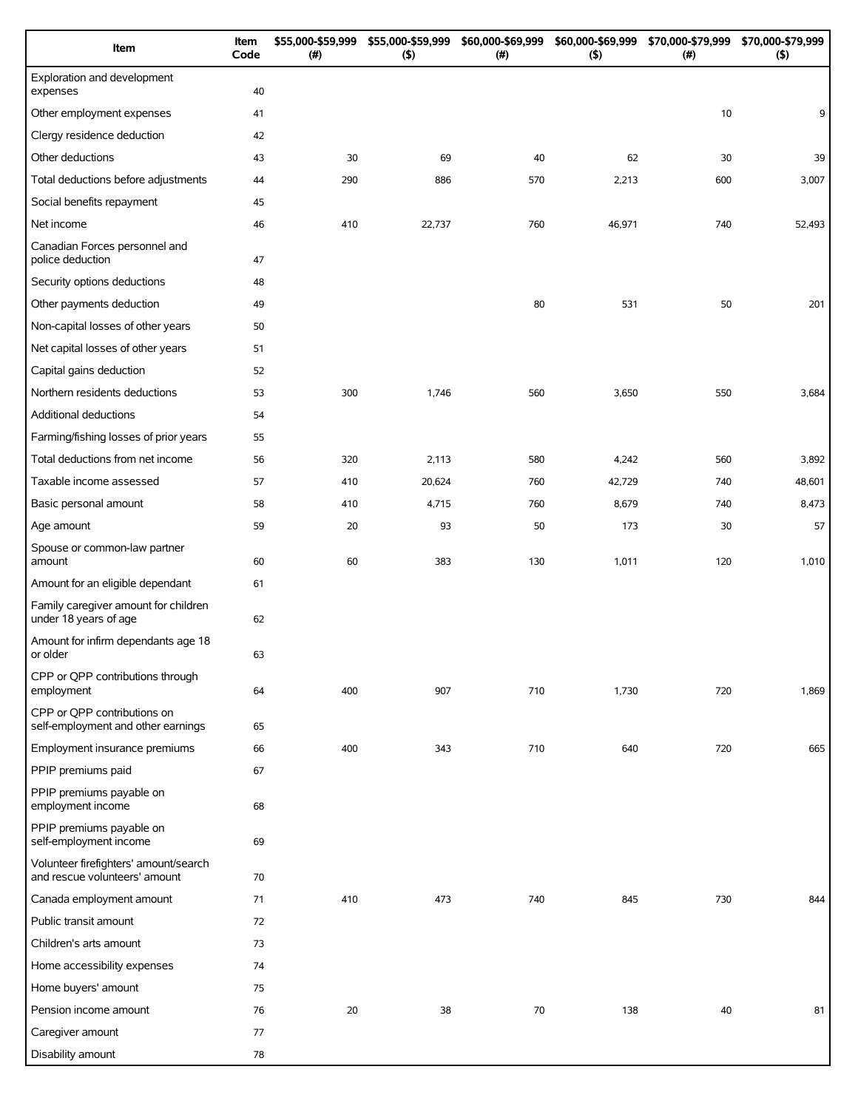| Item                                                                   | Item<br>Code | \$55,000-\$59,999<br>(#) | \$55,000-\$59,999<br>(5) | \$60,000-\$69,999<br>(# ) | \$60,000-\$69,999<br>(5) | \$70,000-\$79,999<br>(#) | \$70,000-\$79,999<br>(5) |
|------------------------------------------------------------------------|--------------|--------------------------|--------------------------|---------------------------|--------------------------|--------------------------|--------------------------|
| Exploration and development<br>expenses                                | 40           |                          |                          |                           |                          |                          |                          |
| Other employment expenses                                              | 41           |                          |                          |                           |                          | 10                       | 9                        |
| Clergy residence deduction                                             | 42           |                          |                          |                           |                          |                          |                          |
| Other deductions                                                       | 43           | 30                       | 69                       | 40                        | 62                       | 30                       | 39                       |
| Total deductions before adjustments                                    | 44           | 290                      | 886                      | 570                       | 2,213                    | 600                      | 3,007                    |
| Social benefits repayment                                              | 45           |                          |                          |                           |                          |                          |                          |
| Net income                                                             | 46           | 410                      | 22,737                   | 760                       | 46,971                   | 740                      | 52,493                   |
| Canadian Forces personnel and<br>police deduction                      | 47           |                          |                          |                           |                          |                          |                          |
| Security options deductions                                            | 48           |                          |                          |                           |                          |                          |                          |
| Other payments deduction                                               | 49           |                          |                          | 80                        | 531                      | 50                       | 201                      |
| Non-capital losses of other years                                      | 50           |                          |                          |                           |                          |                          |                          |
| Net capital losses of other years                                      | 51           |                          |                          |                           |                          |                          |                          |
| Capital gains deduction                                                | 52           |                          |                          |                           |                          |                          |                          |
| Northern residents deductions                                          | 53           | 300                      | 1,746                    | 560                       | 3,650                    | 550                      | 3,684                    |
| Additional deductions                                                  | 54           |                          |                          |                           |                          |                          |                          |
| Farming/fishing losses of prior years                                  | 55           |                          |                          |                           |                          |                          |                          |
| Total deductions from net income                                       | 56           | 320                      | 2,113                    | 580                       | 4,242                    | 560                      | 3,892                    |
| Taxable income assessed                                                | 57           | 410                      | 20,624                   | 760                       | 42,729                   | 740                      | 48,601                   |
| Basic personal amount                                                  | 58           | 410                      | 4,715                    | 760                       | 8,679                    | 740                      | 8,473                    |
| Age amount                                                             | 59           | 20                       | 93                       | 50                        | 173                      | 30                       | 57                       |
| Spouse or common-law partner<br>amount                                 | 60           | 60                       | 383                      | 130                       | 1,011                    | 120                      | 1,010                    |
| Amount for an eligible dependant                                       | 61           |                          |                          |                           |                          |                          |                          |
| Family caregiver amount for children<br>under 18 years of age          | 62           |                          |                          |                           |                          |                          |                          |
| Amount for infirm dependants age 18<br>or older                        | 63           |                          |                          |                           |                          |                          |                          |
| CPP or QPP contributions through<br>employment                         | 64           | 400                      | 907                      | 710                       | 1,730                    | 720                      | 1,869                    |
| CPP or QPP contributions on<br>self-employment and other earnings      | 65           |                          |                          |                           |                          |                          |                          |
| Employment insurance premiums                                          | 66           | 400                      | 343                      | 710                       | 640                      | 720                      | 665                      |
| PPIP premiums paid                                                     | 67           |                          |                          |                           |                          |                          |                          |
| PPIP premiums payable on<br>employment income                          | 68           |                          |                          |                           |                          |                          |                          |
| PPIP premiums payable on<br>self-employment income                     | 69           |                          |                          |                           |                          |                          |                          |
| Volunteer firefighters' amount/search<br>and rescue volunteers' amount | 70           |                          |                          |                           |                          |                          |                          |
| Canada employment amount                                               | 71           | 410                      | 473                      | 740                       | 845                      | 730                      | 844                      |
| Public transit amount                                                  | 72           |                          |                          |                           |                          |                          |                          |
| Children's arts amount                                                 | 73           |                          |                          |                           |                          |                          |                          |
| Home accessibility expenses                                            | 74           |                          |                          |                           |                          |                          |                          |
| Home buyers' amount                                                    | 75           |                          |                          |                           |                          |                          |                          |
| Pension income amount                                                  | 76           | 20                       | 38                       | 70                        | 138                      | 40                       | 81                       |
| Caregiver amount                                                       | 77           |                          |                          |                           |                          |                          |                          |
| Disability amount                                                      | 78           |                          |                          |                           |                          |                          |                          |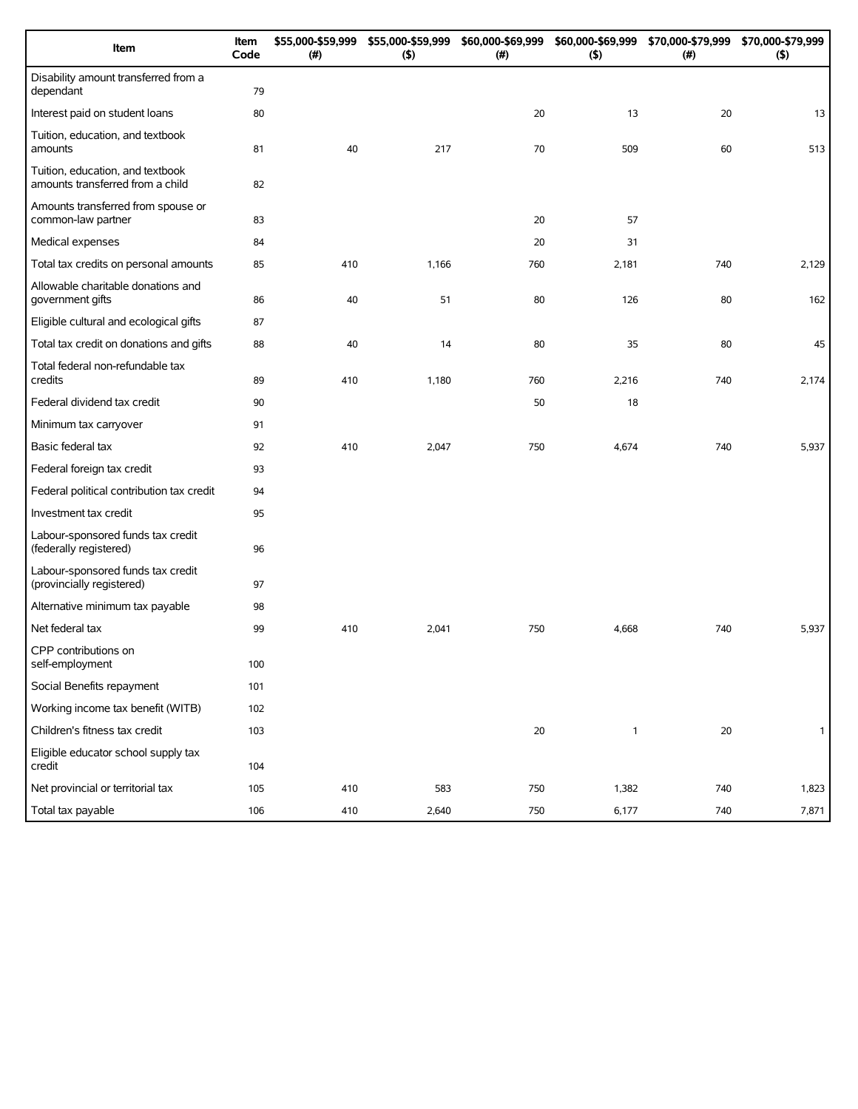| Item                                                                 | Item<br>Code | \$55,000-\$59,999<br>(#) | \$55,000-\$59,999<br>(5) | \$60,000-\$69,999<br>(# ) | \$60,000-\$69,999<br>(5) | \$70,000-\$79,999<br>(#) | \$70,000-\$79,999<br>(5) |
|----------------------------------------------------------------------|--------------|--------------------------|--------------------------|---------------------------|--------------------------|--------------------------|--------------------------|
| Disability amount transferred from a<br>dependant                    | 79           |                          |                          |                           |                          |                          |                          |
| Interest paid on student loans                                       | 80           |                          |                          | 20                        | 13                       | 20                       | 13                       |
| Tuition, education, and textbook<br>amounts                          | 81           | 40                       | 217                      | 70                        | 509                      | 60                       | 513                      |
| Tuition, education, and textbook<br>amounts transferred from a child | 82           |                          |                          |                           |                          |                          |                          |
| Amounts transferred from spouse or<br>common-law partner             | 83           |                          |                          | 20                        | 57                       |                          |                          |
| Medical expenses                                                     | 84           |                          |                          | 20                        | 31                       |                          |                          |
| Total tax credits on personal amounts                                | 85           | 410                      | 1,166                    | 760                       | 2,181                    | 740                      | 2,129                    |
| Allowable charitable donations and<br>government gifts               | 86           | 40                       | 51                       | 80                        | 126                      | 80                       | 162                      |
| Eligible cultural and ecological gifts                               | 87           |                          |                          |                           |                          |                          |                          |
| Total tax credit on donations and gifts                              | 88           | 40                       | 14                       | 80                        | 35                       | 80                       | 45                       |
| Total federal non-refundable tax<br>credits                          | 89           | 410                      | 1,180                    | 760                       | 2,216                    | 740                      | 2,174                    |
| Federal dividend tax credit                                          | 90           |                          |                          | 50                        | 18                       |                          |                          |
| Minimum tax carryover                                                | 91           |                          |                          |                           |                          |                          |                          |
| Basic federal tax                                                    | 92           | 410                      | 2,047                    | 750                       | 4,674                    | 740                      | 5,937                    |
| Federal foreign tax credit                                           | 93           |                          |                          |                           |                          |                          |                          |
| Federal political contribution tax credit                            | 94           |                          |                          |                           |                          |                          |                          |
| Investment tax credit                                                | 95           |                          |                          |                           |                          |                          |                          |
| Labour-sponsored funds tax credit<br>(federally registered)          | 96           |                          |                          |                           |                          |                          |                          |
| Labour-sponsored funds tax credit<br>(provincially registered)       | 97           |                          |                          |                           |                          |                          |                          |
| Alternative minimum tax payable                                      | 98           |                          |                          |                           |                          |                          |                          |
| Net federal tax                                                      | 99           | 410                      | 2,041                    | 750                       | 4,668                    | 740                      | 5,937                    |
| CPP contributions on<br>self-employment                              | 100          |                          |                          |                           |                          |                          |                          |
| Social Benefits repayment                                            | 101          |                          |                          |                           |                          |                          |                          |
| Working income tax benefit (WITB)                                    | 102          |                          |                          |                           |                          |                          |                          |
| Children's fitness tax credit                                        | 103          |                          |                          | 20                        | $\mathbf{1}$             | 20                       | $\mathbf{1}$             |
| Eligible educator school supply tax<br>credit                        | 104          |                          |                          |                           |                          |                          |                          |
| Net provincial or territorial tax                                    | 105          | 410                      | 583                      | 750                       | 1,382                    | 740                      | 1,823                    |
| Total tax payable                                                    | 106          | 410                      | 2,640                    | 750                       | 6,177                    | 740                      | 7,871                    |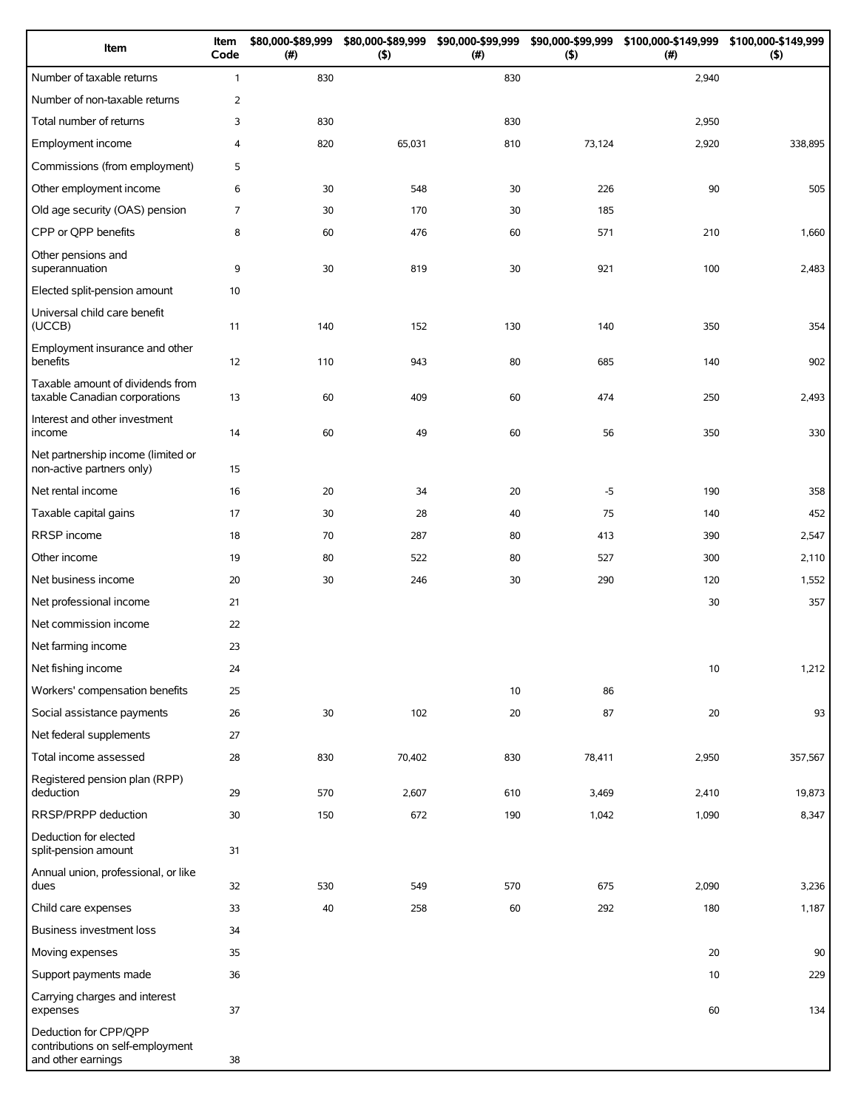| Item                                                                            | Item<br>Code   | \$80,000-\$89,999<br>(#) | \$80,000-\$89,999<br>(5) | \$90,000-\$99,999<br>(# ) | (5)    | \$90,000-\$99,999 \$100,000-\$149,999 \$100,000-\$149,999<br>(#) | (5)     |
|---------------------------------------------------------------------------------|----------------|--------------------------|--------------------------|---------------------------|--------|------------------------------------------------------------------|---------|
| Number of taxable returns                                                       | $\mathbf{1}$   | 830                      |                          | 830                       |        | 2,940                                                            |         |
| Number of non-taxable returns                                                   | $\overline{2}$ |                          |                          |                           |        |                                                                  |         |
| Total number of returns                                                         | 3              | 830                      |                          | 830                       |        | 2,950                                                            |         |
| Employment income                                                               | 4              | 820                      | 65,031                   | 810                       | 73,124 | 2,920                                                            | 338,895 |
| Commissions (from employment)                                                   | 5              |                          |                          |                           |        |                                                                  |         |
| Other employment income                                                         | 6              | 30                       | 548                      | 30                        | 226    | 90                                                               | 505     |
| Old age security (OAS) pension                                                  | $\overline{7}$ | 30                       | 170                      | 30                        | 185    |                                                                  |         |
| CPP or QPP benefits                                                             | 8              | 60                       | 476                      | 60                        | 571    | 210                                                              | 1,660   |
| Other pensions and<br>superannuation                                            | 9              | 30                       | 819                      | 30                        | 921    | 100                                                              | 2,483   |
| Elected split-pension amount                                                    | 10             |                          |                          |                           |        |                                                                  |         |
| Universal child care benefit<br>(UCCB)                                          | 11             | 140                      | 152                      | 130                       | 140    | 350                                                              | 354     |
| Employment insurance and other<br>benefits                                      | 12             | 110                      | 943                      | 80                        | 685    | 140                                                              | 902     |
| Taxable amount of dividends from<br>taxable Canadian corporations               | 13             | 60                       | 409                      | 60                        | 474    | 250                                                              | 2,493   |
| Interest and other investment<br>income                                         | 14             | 60                       | 49                       | 60                        | 56     | 350                                                              | 330     |
| Net partnership income (limited or<br>non-active partners only)                 | 15             |                          |                          |                           |        |                                                                  |         |
| Net rental income                                                               | 16             | 20                       | 34                       | 20                        | $-5$   | 190                                                              | 358     |
| Taxable capital gains                                                           | 17             | 30                       | 28                       | 40                        | 75     | 140                                                              | 452     |
| RRSP income                                                                     | 18             | 70                       | 287                      | 80                        | 413    | 390                                                              | 2,547   |
| Other income                                                                    | 19             | 80                       | 522                      | 80                        | 527    | 300                                                              | 2,110   |
| Net business income                                                             | 20             | 30                       | 246                      | 30                        | 290    | 120                                                              | 1,552   |
| Net professional income                                                         | 21             |                          |                          |                           |        | 30                                                               | 357     |
| Net commission income                                                           | 22             |                          |                          |                           |        |                                                                  |         |
| Net farming income                                                              | 23             |                          |                          |                           |        |                                                                  |         |
| Net fishing income                                                              | 24             |                          |                          |                           |        | 10                                                               | 1,212   |
| Workers' compensation benefits                                                  | 25             |                          |                          | 10                        | 86     |                                                                  |         |
| Social assistance payments                                                      | 26             | 30                       | 102                      | 20                        | 87     | 20                                                               | 93      |
| Net federal supplements                                                         | 27             |                          |                          |                           |        |                                                                  |         |
| Total income assessed                                                           | 28             | 830                      | 70,402                   | 830                       | 78,411 | 2,950                                                            | 357,567 |
| Registered pension plan (RPP)<br>deduction                                      | 29             | 570                      | 2,607                    | 610                       | 3,469  | 2,410                                                            | 19,873  |
| <b>RRSP/PRPP</b> deduction                                                      | 30             | 150                      | 672                      | 190                       | 1,042  | 1,090                                                            | 8,347   |
| Deduction for elected<br>split-pension amount                                   | 31             |                          |                          |                           |        |                                                                  |         |
| Annual union, professional, or like<br>dues                                     | 32             | 530                      | 549                      | 570                       | 675    | 2,090                                                            | 3,236   |
| Child care expenses                                                             | 33             | 40                       | 258                      | 60                        | 292    | 180                                                              | 1,187   |
| <b>Business investment loss</b>                                                 | 34             |                          |                          |                           |        |                                                                  |         |
| Moving expenses                                                                 | 35             |                          |                          |                           |        | 20                                                               | 90      |
| Support payments made                                                           | 36             |                          |                          |                           |        | 10                                                               | 229     |
| Carrying charges and interest<br>expenses                                       | 37             |                          |                          |                           |        | 60                                                               | 134     |
| Deduction for CPP/QPP<br>contributions on self-employment<br>and other earnings | 38             |                          |                          |                           |        |                                                                  |         |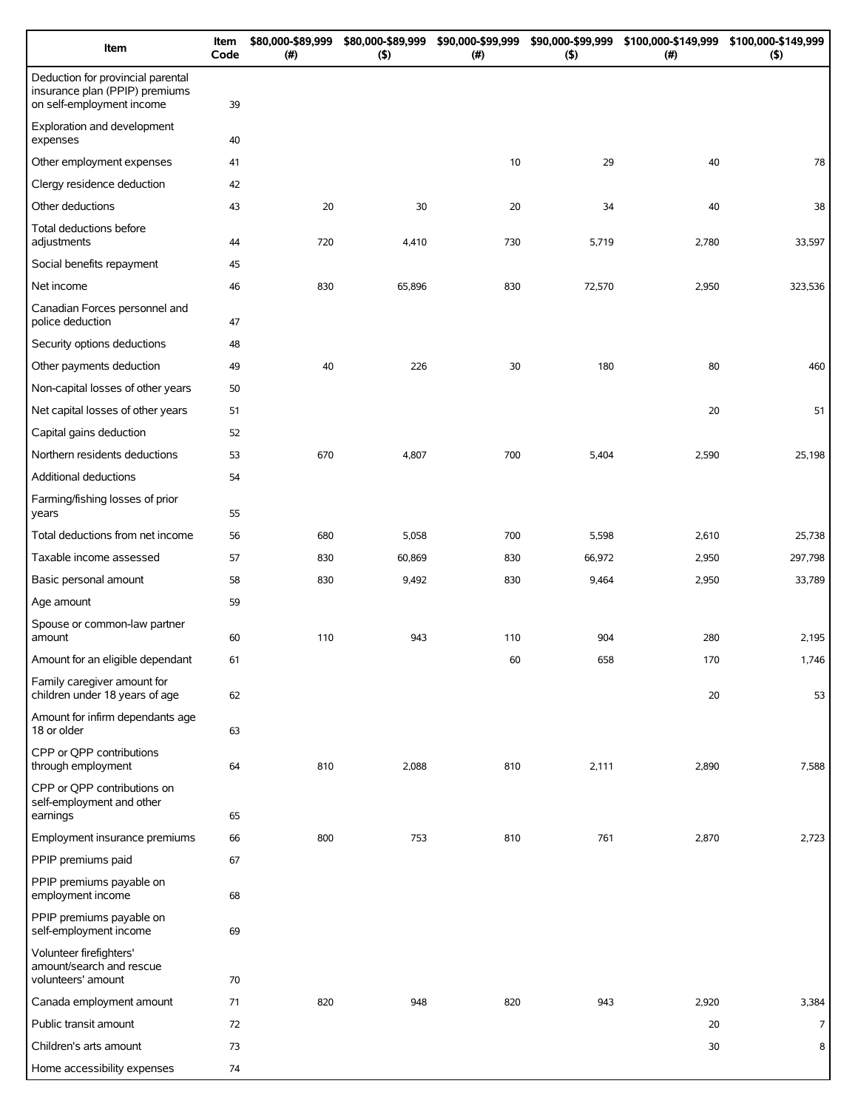| Item                                                                                             | Item<br>Code | \$80,000-\$89,999<br>(# ) | \$80,000-\$89,999<br>(5) | \$90,000-\$99,999<br>(# ) | \$90,000-\$99,999<br>(5) | \$100,000-\$149,999<br>(# ) | \$100,000-\$149,999<br>(5) |
|--------------------------------------------------------------------------------------------------|--------------|---------------------------|--------------------------|---------------------------|--------------------------|-----------------------------|----------------------------|
| Deduction for provincial parental<br>insurance plan (PPIP) premiums<br>on self-employment income | 39           |                           |                          |                           |                          |                             |                            |
| Exploration and development<br>expenses                                                          | 40           |                           |                          |                           |                          |                             |                            |
| Other employment expenses                                                                        | 41           |                           |                          | 10                        | 29                       | 40                          | 78                         |
| Clergy residence deduction                                                                       | 42           |                           |                          |                           |                          |                             |                            |
| Other deductions                                                                                 | 43           | 20                        | 30                       | 20                        | 34                       | 40                          | 38                         |
| Total deductions before<br>adjustments                                                           | 44           | 720                       | 4,410                    | 730                       | 5,719                    | 2,780                       | 33,597                     |
| Social benefits repayment                                                                        | 45           |                           |                          |                           |                          |                             |                            |
| Net income                                                                                       | 46           | 830                       | 65,896                   | 830                       | 72,570                   | 2,950                       | 323,536                    |
| Canadian Forces personnel and<br>police deduction                                                | 47           |                           |                          |                           |                          |                             |                            |
| Security options deductions                                                                      | 48           |                           |                          |                           |                          |                             |                            |
| Other payments deduction                                                                         | 49           | 40                        | 226                      | 30                        | 180                      | 80                          | 460                        |
| Non-capital losses of other years                                                                | 50           |                           |                          |                           |                          |                             |                            |
| Net capital losses of other years                                                                | 51           |                           |                          |                           |                          | 20                          | 51                         |
| Capital gains deduction                                                                          | 52           |                           |                          |                           |                          |                             |                            |
| Northern residents deductions                                                                    | 53           | 670                       | 4,807                    | 700                       | 5,404                    | 2,590                       | 25,198                     |
| Additional deductions                                                                            | 54           |                           |                          |                           |                          |                             |                            |
| Farming/fishing losses of prior<br>years                                                         | 55           |                           |                          |                           |                          |                             |                            |
| Total deductions from net income                                                                 | 56           | 680                       | 5,058                    | 700                       | 5,598                    | 2,610                       | 25,738                     |
| Taxable income assessed                                                                          | 57           | 830                       | 60,869                   | 830                       | 66,972                   | 2,950                       | 297,798                    |
| Basic personal amount                                                                            | 58           | 830                       | 9,492                    | 830                       | 9,464                    | 2,950                       | 33,789                     |
| Age amount                                                                                       | 59           |                           |                          |                           |                          |                             |                            |
| Spouse or common-law partner<br>amount                                                           | 60           | 110                       | 943                      | 110                       | 904                      | 280                         | 2,195                      |
| Amount for an eligible dependant                                                                 | 61           |                           |                          | 60                        | 658                      | 170                         | 1,746                      |
| Family caregiver amount for<br>children under 18 years of age                                    | 62           |                           |                          |                           |                          | 20                          | 53                         |
| Amount for infirm dependants age<br>18 or older                                                  | 63           |                           |                          |                           |                          |                             |                            |
| CPP or QPP contributions<br>through employment                                                   | 64           | 810                       | 2,088                    | 810                       | 2,111                    | 2,890                       | 7,588                      |
| CPP or QPP contributions on<br>self-employment and other<br>earnings                             | 65           |                           |                          |                           |                          |                             |                            |
| Employment insurance premiums                                                                    | 66           | 800                       | 753                      | 810                       | 761                      | 2,870                       | 2,723                      |
| PPIP premiums paid                                                                               | 67           |                           |                          |                           |                          |                             |                            |
| PPIP premiums payable on<br>employment income                                                    | 68           |                           |                          |                           |                          |                             |                            |
| PPIP premiums payable on<br>self-employment income                                               | 69           |                           |                          |                           |                          |                             |                            |
| Volunteer firefighters'<br>amount/search and rescue<br>volunteers' amount                        | 70           |                           |                          |                           |                          |                             |                            |
| Canada employment amount                                                                         | 71           | 820                       | 948                      | 820                       | 943                      | 2,920                       | 3,384                      |
| Public transit amount                                                                            | 72           |                           |                          |                           |                          | 20                          | $\overline{7}$             |
| Children's arts amount                                                                           | 73           |                           |                          |                           |                          | 30                          | 8                          |
| Home accessibility expenses                                                                      | 74           |                           |                          |                           |                          |                             |                            |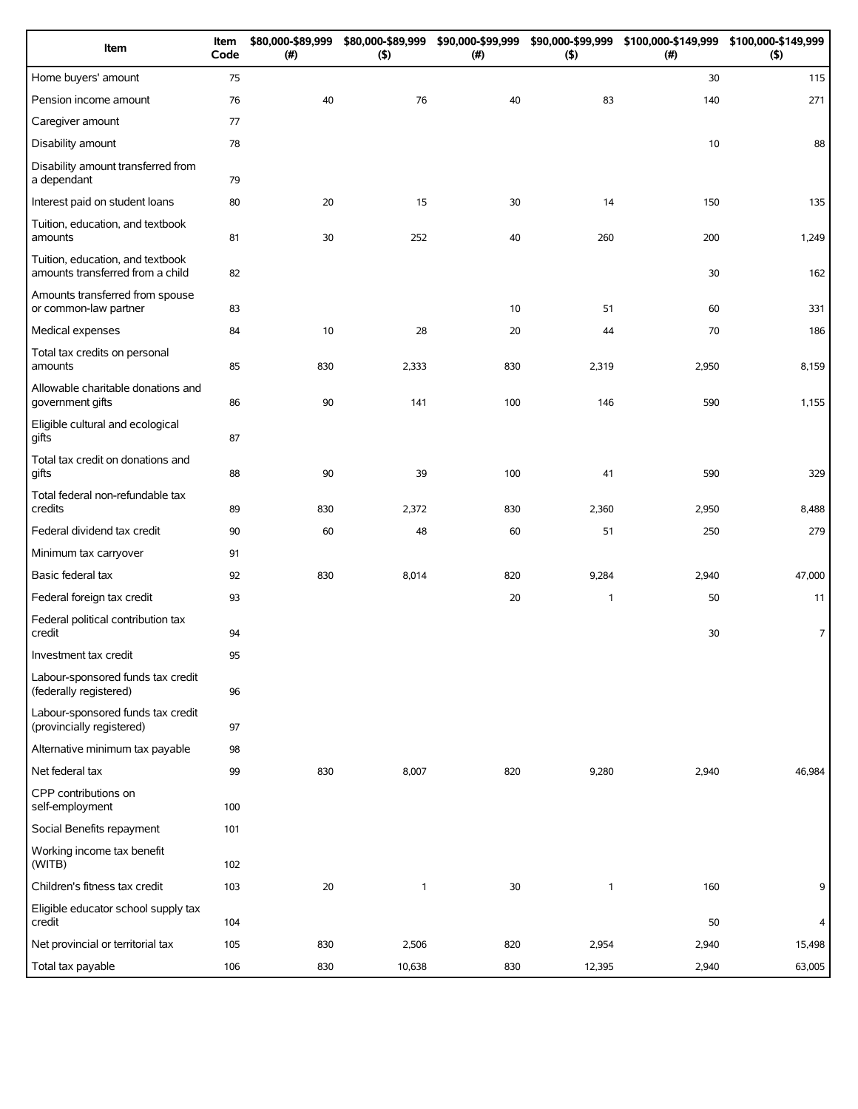| Item                                                                 | Item<br>Code | \$80,000-\$89,999<br>(# ) | \$80,000-\$89,999<br>$($ \$) | \$90,000-\$99,999<br>(# ) | \$90,000-\$99,999<br>(5) | \$100,000-\$149,999 \$100,000-\$149,999<br>(#) | (5)            |
|----------------------------------------------------------------------|--------------|---------------------------|------------------------------|---------------------------|--------------------------|------------------------------------------------|----------------|
| Home buyers' amount                                                  | 75           |                           |                              |                           |                          | 30                                             | 115            |
| Pension income amount                                                | 76           | 40                        | 76                           | 40                        | 83                       | 140                                            | 271            |
| Caregiver amount                                                     | 77           |                           |                              |                           |                          |                                                |                |
| Disability amount                                                    | 78           |                           |                              |                           |                          | 10                                             | 88             |
| Disability amount transferred from<br>a dependant                    | 79           |                           |                              |                           |                          |                                                |                |
| Interest paid on student loans                                       | 80           | 20                        | 15                           | 30                        | 14                       | 150                                            | 135            |
| Tuition, education, and textbook<br>amounts                          | 81           | 30                        | 252                          | 40                        | 260                      | 200                                            | 1,249          |
| Tuition, education, and textbook<br>amounts transferred from a child | 82           |                           |                              |                           |                          | 30                                             | 162            |
| Amounts transferred from spouse<br>or common-law partner             | 83           |                           |                              | 10                        | 51                       | 60                                             | 331            |
| Medical expenses                                                     | 84           | 10                        | 28                           | 20                        | 44                       | 70                                             | 186            |
| Total tax credits on personal<br>amounts                             | 85           | 830                       | 2,333                        | 830                       | 2,319                    | 2,950                                          | 8,159          |
| Allowable charitable donations and<br>government gifts               | 86           | 90                        | 141                          | 100                       | 146                      | 590                                            | 1,155          |
| Eligible cultural and ecological<br>gifts                            | 87           |                           |                              |                           |                          |                                                |                |
| Total tax credit on donations and<br>gifts                           | 88           | 90                        | 39                           | 100                       | 41                       | 590                                            | 329            |
| Total federal non-refundable tax<br>credits                          | 89           | 830                       | 2,372                        | 830                       | 2,360                    | 2,950                                          | 8,488          |
| Federal dividend tax credit                                          | 90           | 60                        | 48                           | 60                        | 51                       | 250                                            | 279            |
| Minimum tax carryover                                                | 91           |                           |                              |                           |                          |                                                |                |
| Basic federal tax                                                    | 92           | 830                       | 8,014                        | 820                       | 9,284                    | 2,940                                          | 47,000         |
| Federal foreign tax credit                                           | 93           |                           |                              | 20                        | $\mathbf{1}$             | 50                                             | 11             |
| Federal political contribution tax<br>credit                         | 94           |                           |                              |                           |                          | 30                                             | $\overline{7}$ |
| Investment tax credit                                                | 95           |                           |                              |                           |                          |                                                |                |
| Labour-sponsored funds tax credit<br>(federally registered)          | 96           |                           |                              |                           |                          |                                                |                |
| Labour-sponsored funds tax credit<br>(provincially registered)       | 97           |                           |                              |                           |                          |                                                |                |
| Alternative minimum tax payable                                      | 98           |                           |                              |                           |                          |                                                |                |
| Net federal tax                                                      | 99           | 830                       | 8,007                        | 820                       | 9,280                    | 2,940                                          | 46,984         |
| CPP contributions on<br>self-employment                              | 100          |                           |                              |                           |                          |                                                |                |
| Social Benefits repayment                                            | 101          |                           |                              |                           |                          |                                                |                |
| Working income tax benefit<br>(WITB)                                 | 102          |                           |                              |                           |                          |                                                |                |
| Children's fitness tax credit                                        | 103          | 20                        | $\mathbf{1}$                 | 30                        | $\mathbf{1}$             | 160                                            | 9              |
| Eligible educator school supply tax<br>credit                        | 104          |                           |                              |                           |                          | 50                                             | $\overline{4}$ |
| Net provincial or territorial tax                                    | 105          | 830                       | 2,506                        | 820                       | 2,954                    | 2,940                                          | 15,498         |
| Total tax payable                                                    | 106          | 830                       | 10,638                       | 830                       | 12,395                   | 2,940                                          | 63,005         |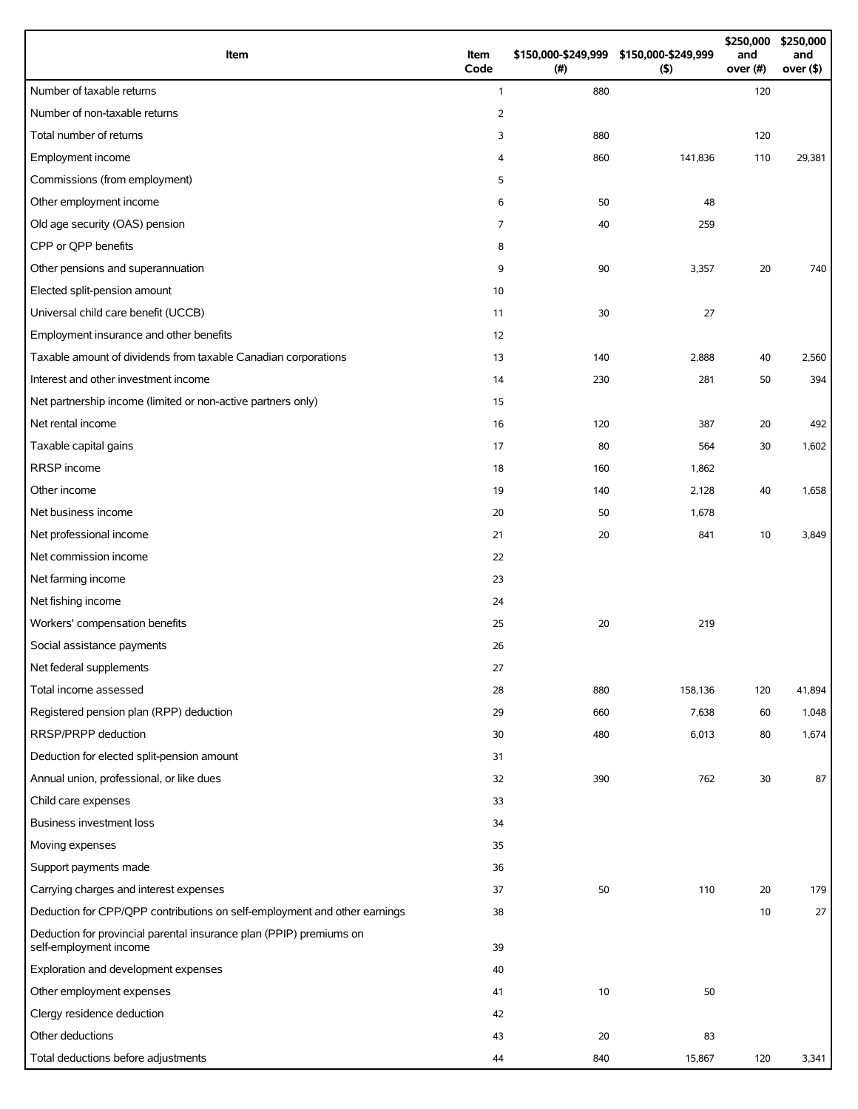| Item                                                                                          | Item<br>Code   | (#) | \$150,000-\$249,999 \$150,000-\$249,999<br>$($ \$) | \$250,000<br>and<br>over (#) | \$250,000<br>and<br>over $($ \$) |
|-----------------------------------------------------------------------------------------------|----------------|-----|----------------------------------------------------|------------------------------|----------------------------------|
| Number of taxable returns                                                                     | $\mathbf{1}$   | 880 |                                                    | 120                          |                                  |
| Number of non-taxable returns                                                                 | $\overline{2}$ |     |                                                    |                              |                                  |
| Total number of returns                                                                       | 3              | 880 |                                                    | 120                          |                                  |
| Employment income                                                                             | 4              | 860 | 141,836                                            | 110                          | 29,381                           |
| Commissions (from employment)                                                                 | 5              |     |                                                    |                              |                                  |
| Other employment income                                                                       | 6              | 50  | 48                                                 |                              |                                  |
| Old age security (OAS) pension                                                                | $\overline{7}$ | 40  | 259                                                |                              |                                  |
| CPP or QPP benefits                                                                           | 8              |     |                                                    |                              |                                  |
| Other pensions and superannuation                                                             | 9              | 90  | 3,357                                              | 20                           | 740                              |
| Elected split-pension amount                                                                  | 10             |     |                                                    |                              |                                  |
| Universal child care benefit (UCCB)                                                           | 11             | 30  | 27                                                 |                              |                                  |
| Employment insurance and other benefits                                                       | 12             |     |                                                    |                              |                                  |
| Taxable amount of dividends from taxable Canadian corporations                                | 13             | 140 | 2,888                                              | 40                           | 2,560                            |
| Interest and other investment income                                                          | 14             | 230 | 281                                                | 50                           | 394                              |
| Net partnership income (limited or non-active partners only)                                  | 15             |     |                                                    |                              |                                  |
| Net rental income                                                                             | 16             | 120 | 387                                                | 20                           | 492                              |
| Taxable capital gains                                                                         | 17             | 80  | 564                                                | 30                           | 1,602                            |
| RRSP income                                                                                   | 18             | 160 | 1,862                                              |                              |                                  |
| Other income                                                                                  | 19             | 140 | 2,128                                              | 40                           | 1,658                            |
| Net business income                                                                           | 20             | 50  | 1,678                                              |                              |                                  |
| Net professional income                                                                       | 21             | 20  | 841                                                | 10                           | 3,849                            |
| Net commission income                                                                         | 22             |     |                                                    |                              |                                  |
| Net farming income                                                                            | 23             |     |                                                    |                              |                                  |
| Net fishing income                                                                            | 24             |     |                                                    |                              |                                  |
| Workers' compensation benefits                                                                | 25             | 20  | 219                                                |                              |                                  |
| Social assistance payments                                                                    | 26             |     |                                                    |                              |                                  |
| Net federal supplements                                                                       | 27             |     |                                                    |                              |                                  |
| Total income assessed                                                                         | 28             | 880 | 158,136                                            | 120                          | 41,894                           |
| Registered pension plan (RPP) deduction                                                       | 29             | 660 | 7,638                                              | 60                           | 1,048                            |
| RRSP/PRPP deduction                                                                           | 30             | 480 | 6,013                                              | 80                           | 1,674                            |
| Deduction for elected split-pension amount                                                    | 31             |     |                                                    |                              |                                  |
| Annual union, professional, or like dues                                                      | 32             | 390 | 762                                                | 30                           | 87                               |
| Child care expenses                                                                           | 33             |     |                                                    |                              |                                  |
| Business investment loss                                                                      | 34             |     |                                                    |                              |                                  |
| Moving expenses                                                                               | 35             |     |                                                    |                              |                                  |
| Support payments made                                                                         | 36             |     |                                                    |                              |                                  |
| Carrying charges and interest expenses                                                        | 37             | 50  | 110                                                | 20                           | 179                              |
| Deduction for CPP/QPP contributions on self-employment and other earnings                     | 38             |     |                                                    | 10                           | 27                               |
| Deduction for provincial parental insurance plan (PPIP) premiums on<br>self-employment income | 39             |     |                                                    |                              |                                  |
| Exploration and development expenses                                                          | 40             |     |                                                    |                              |                                  |
| Other employment expenses                                                                     | 41             | 10  | 50                                                 |                              |                                  |
| Clergy residence deduction                                                                    | 42             |     |                                                    |                              |                                  |
| Other deductions                                                                              | 43             | 20  | 83                                                 |                              |                                  |
| Total deductions before adjustments                                                           | 44             | 840 | 15,867                                             | 120                          | 3,341                            |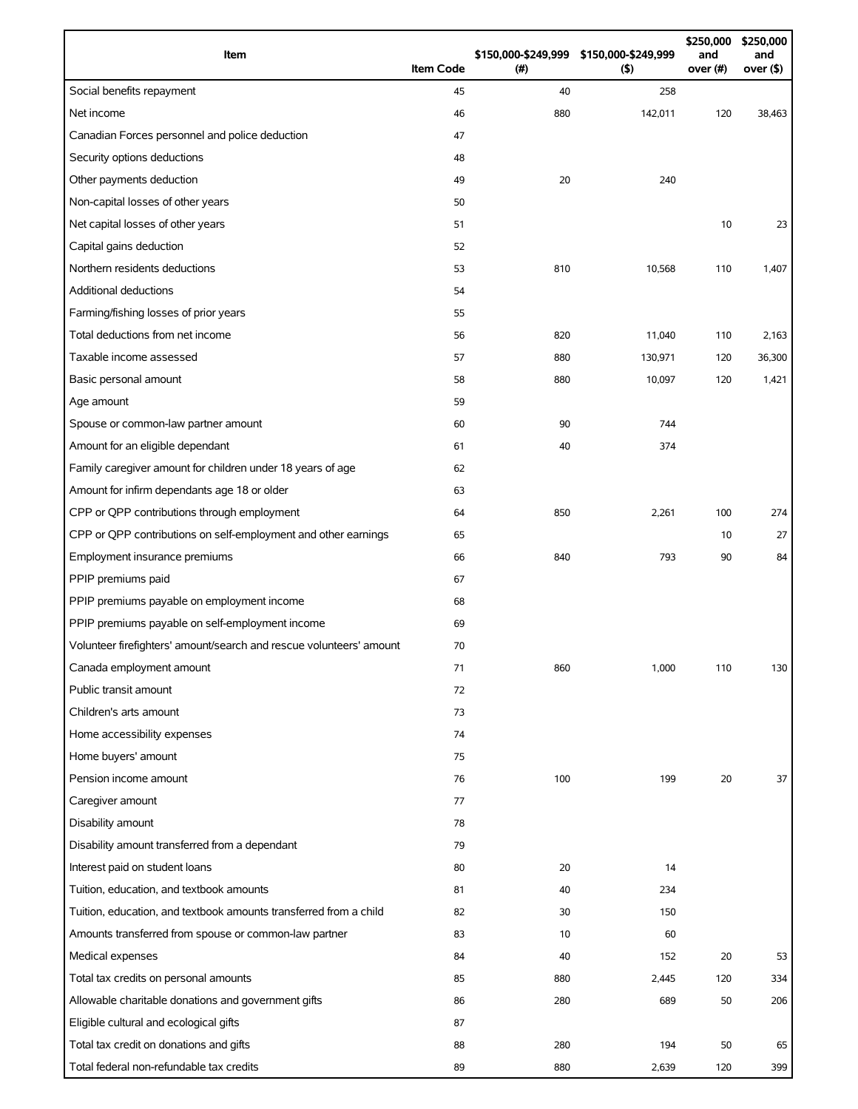| Item                                                                | <b>Item Code</b> | (#) | \$150,000-\$249,999 \$150,000-\$249,999<br>(5) | \$250,000<br>and<br>over (#) | \$250,000<br>and<br>over (\$) |
|---------------------------------------------------------------------|------------------|-----|------------------------------------------------|------------------------------|-------------------------------|
| Social benefits repayment                                           | 45               | 40  | 258                                            |                              |                               |
| Net income                                                          | 46               | 880 | 142,011                                        | 120                          | 38,463                        |
| Canadian Forces personnel and police deduction                      | 47               |     |                                                |                              |                               |
| Security options deductions                                         | 48               |     |                                                |                              |                               |
| Other payments deduction                                            | 49               | 20  | 240                                            |                              |                               |
| Non-capital losses of other years                                   | 50               |     |                                                |                              |                               |
| Net capital losses of other years                                   | 51               |     |                                                | 10                           | 23                            |
| Capital gains deduction                                             | 52               |     |                                                |                              |                               |
| Northern residents deductions                                       | 53               | 810 | 10,568                                         | 110                          | 1,407                         |
| Additional deductions                                               | 54               |     |                                                |                              |                               |
| Farming/fishing losses of prior years                               | 55               |     |                                                |                              |                               |
| Total deductions from net income                                    | 56               | 820 | 11,040                                         | 110                          | 2,163                         |
| Taxable income assessed                                             | 57               | 880 | 130,971                                        | 120                          | 36,300                        |
| Basic personal amount                                               | 58               | 880 | 10,097                                         | 120                          | 1,421                         |
| Age amount                                                          | 59               |     |                                                |                              |                               |
| Spouse or common-law partner amount                                 | 60               | 90  | 744                                            |                              |                               |
| Amount for an eligible dependant                                    | 61               | 40  | 374                                            |                              |                               |
| Family caregiver amount for children under 18 years of age          | 62               |     |                                                |                              |                               |
| Amount for infirm dependants age 18 or older                        | 63               |     |                                                |                              |                               |
| CPP or QPP contributions through employment                         | 64               | 850 | 2,261                                          | 100                          | 274                           |
| CPP or QPP contributions on self-employment and other earnings      | 65               |     |                                                | 10                           | 27                            |
| Employment insurance premiums                                       | 66               | 840 | 793                                            | 90                           | 84                            |
| PPIP premiums paid                                                  | 67               |     |                                                |                              |                               |
| PPIP premiums payable on employment income                          | 68               |     |                                                |                              |                               |
| PPIP premiums payable on self-employment income                     | 69               |     |                                                |                              |                               |
| Volunteer firefighters' amount/search and rescue volunteers' amount | 70               |     |                                                |                              |                               |
| Canada employment amount                                            | 71               | 860 | 1,000                                          | 110                          | 130                           |
| Public transit amount                                               | 72               |     |                                                |                              |                               |
| Children's arts amount                                              | 73               |     |                                                |                              |                               |
| Home accessibility expenses                                         | 74               |     |                                                |                              |                               |
| Home buyers' amount                                                 | 75               |     |                                                |                              |                               |
| Pension income amount                                               | 76               | 100 | 199                                            | 20                           | 37                            |
| Caregiver amount                                                    | 77               |     |                                                |                              |                               |
| Disability amount                                                   | 78               |     |                                                |                              |                               |
| Disability amount transferred from a dependant                      | 79               |     |                                                |                              |                               |
| Interest paid on student loans                                      | 80               | 20  | 14                                             |                              |                               |
| Tuition, education, and textbook amounts                            | 81               | 40  | 234                                            |                              |                               |
| Tuition, education, and textbook amounts transferred from a child   | 82               | 30  | 150                                            |                              |                               |
| Amounts transferred from spouse or common-law partner               | 83               | 10  | 60                                             |                              |                               |
| Medical expenses                                                    | 84               | 40  | 152                                            | 20                           | 53                            |
| Total tax credits on personal amounts                               | 85               | 880 | 2,445                                          | 120                          | 334                           |
| Allowable charitable donations and government gifts                 | 86               | 280 | 689                                            | 50                           | 206                           |
| Eligible cultural and ecological gifts                              | 87               |     |                                                |                              |                               |
| Total tax credit on donations and gifts                             | 88               | 280 | 194                                            | 50                           | 65                            |
| Total federal non-refundable tax credits                            | 89               | 880 | 2,639                                          | 120                          | 399                           |